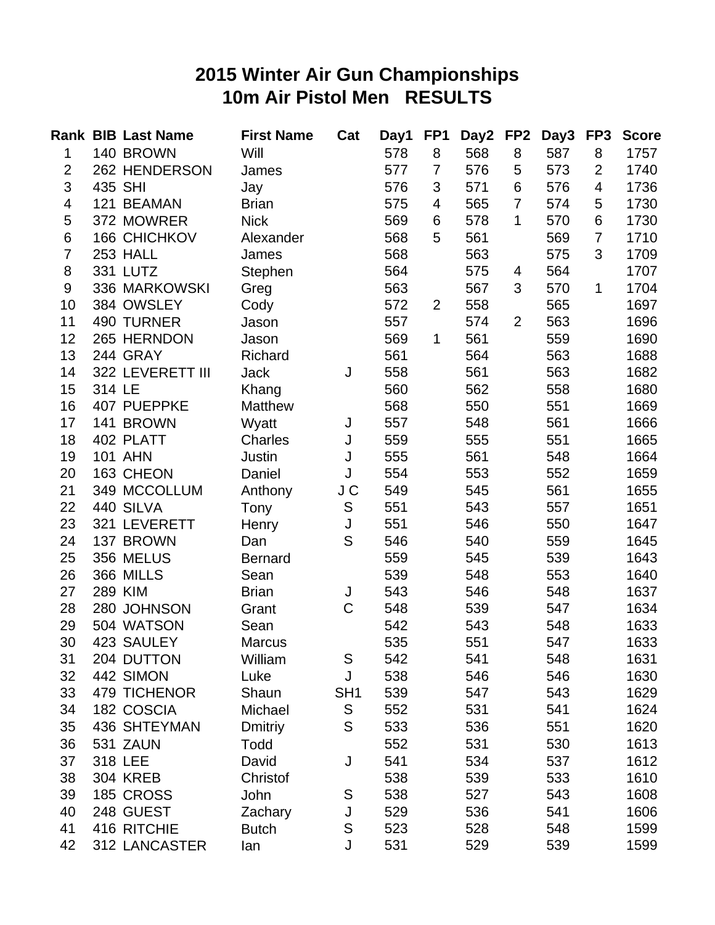## **2015 Winter Air Gun Championships 10m Air Pistol Men RESULTS**

|                |         | <b>Rank BIB Last Name</b> | <b>First Name</b> | Cat             | Day1 | FP <sub>1</sub> | Day2 | FP <sub>2</sub> | Day3 | FP <sub>3</sub> | <b>Score</b> |
|----------------|---------|---------------------------|-------------------|-----------------|------|-----------------|------|-----------------|------|-----------------|--------------|
| 1              |         | 140 BROWN                 | Will              |                 | 578  | 8               | 568  | 8               | 587  | 8               | 1757         |
| $\overline{2}$ |         | 262 HENDERSON             | James             |                 | 577  | $\overline{7}$  | 576  | 5               | 573  | $\overline{2}$  | 1740         |
| 3              | 435 SHI |                           | Jay               |                 | 576  | 3               | 571  | 6               | 576  | $\overline{4}$  | 1736         |
| 4              |         | 121 BEAMAN                | <b>Brian</b>      |                 | 575  | 4               | 565  | $\overline{7}$  | 574  | 5               | 1730         |
| 5              |         | 372 MOWRER                | <b>Nick</b>       |                 | 569  | 6               | 578  | $\mathbf 1$     | 570  | 6               | 1730         |
| 6              |         | 166 CHICHKOV              | Alexander         |                 | 568  | 5               | 561  |                 | 569  | $\overline{7}$  | 1710         |
| $\overline{7}$ |         | 253 HALL                  | James             |                 | 568  |                 | 563  |                 | 575  | 3               | 1709         |
| 8              |         | 331 LUTZ                  | Stephen           |                 | 564  |                 | 575  | 4               | 564  |                 | 1707         |
| 9              |         | 336 MARKOWSKI             | Greg              |                 | 563  |                 | 567  | 3               | 570  | $\mathbf{1}$    | 1704         |
| 10             |         | 384 OWSLEY                | Cody              |                 | 572  | $\overline{2}$  | 558  |                 | 565  |                 | 1697         |
| 11             |         | 490 TURNER                | Jason             |                 | 557  |                 | 574  | 2               | 563  |                 | 1696         |
| 12             |         | 265 HERNDON               | Jason             |                 | 569  | 1               | 561  |                 | 559  |                 | 1690         |
| 13             |         | 244 GRAY                  | Richard           |                 | 561  |                 | 564  |                 | 563  |                 | 1688         |
| 14             |         | 322 LEVERETT III          | <b>Jack</b>       | J               | 558  |                 | 561  |                 | 563  |                 | 1682         |
| 15             | 314 LE  |                           | Khang             |                 | 560  |                 | 562  |                 | 558  |                 | 1680         |
| 16             |         | 407 PUEPPKE               | Matthew           |                 | 568  |                 | 550  |                 | 551  |                 | 1669         |
| 17             |         | 141 BROWN                 | Wyatt             | J               | 557  |                 | 548  |                 | 561  |                 | 1666         |
| 18             |         | 402 PLATT                 | Charles           | J               | 559  |                 | 555  |                 | 551  |                 | 1665         |
| 19             |         | <b>101 AHN</b>            | Justin            | J               | 555  |                 | 561  |                 | 548  |                 | 1664         |
| 20             |         | 163 CHEON                 | Daniel            | J               | 554  |                 | 553  |                 | 552  |                 | 1659         |
| 21             |         | 349 MCCOLLUM              | Anthony           | J C             | 549  |                 | 545  |                 | 561  |                 | 1655         |
| 22             |         | 440 SILVA                 | Tony              | S               | 551  |                 | 543  |                 | 557  |                 | 1651         |
| 23             |         | 321 LEVERETT              | Henry             | J               | 551  |                 | 546  |                 | 550  |                 | 1647         |
| 24             |         | 137 BROWN                 | Dan               | S               | 546  |                 | 540  |                 | 559  |                 | 1645         |
| 25             |         | 356 MELUS                 | <b>Bernard</b>    |                 | 559  |                 | 545  |                 | 539  |                 | 1643         |
| 26             |         | 366 MILLS                 | Sean              |                 | 539  |                 | 548  |                 | 553  |                 | 1640         |
| 27             | 289 KIM |                           | <b>Brian</b>      | J               | 543  |                 | 546  |                 | 548  |                 | 1637         |
| 28             |         | 280 JOHNSON               | Grant             | $\mathsf C$     | 548  |                 | 539  |                 | 547  |                 | 1634         |
| 29             |         | 504 WATSON                | Sean              |                 | 542  |                 | 543  |                 | 548  |                 | 1633         |
| 30             |         | 423 SAULEY                | <b>Marcus</b>     |                 | 535  |                 | 551  |                 | 547  |                 | 1633         |
| 31             |         | 204 DUTTON                | William           | S               | 542  |                 | 541  |                 | 548  |                 | 1631         |
| 32             |         | 442 SIMON                 | Luke              | J               | 538  |                 | 546  |                 | 546  |                 | 1630         |
| 33             |         | 479 TICHENOR              | Shaun             | SH <sub>1</sub> | 539  |                 | 547  |                 | 543  |                 | 1629         |
| 34             |         | 182 COSCIA                | Michael           | ${\mathsf S}$   | 552  |                 | 531  |                 | 541  |                 | 1624         |
| 35             |         | 436 SHTEYMAN              | Dmitriy           | S               | 533  |                 | 536  |                 | 551  |                 | 1620         |
| 36             |         | 531 ZAUN                  | Todd              |                 | 552  |                 | 531  |                 | 530  |                 | 1613         |
| 37             |         | 318 LEE                   | David             | J               | 541  |                 | 534  |                 | 537  |                 | 1612         |
| 38             |         | <b>304 KREB</b>           | Christof          |                 | 538  |                 | 539  |                 | 533  |                 | 1610         |
| 39             |         | 185 CROSS                 | John              | S               | 538  |                 | 527  |                 | 543  |                 | 1608         |
| 40             |         | 248 GUEST                 | Zachary           | J               | 529  |                 | 536  |                 | 541  |                 | 1606         |
| 41             |         | 416 RITCHIE               | <b>Butch</b>      | S               | 523  |                 | 528  |                 | 548  |                 | 1599         |
| 42             |         | 312 LANCASTER             | lan               | J               | 531  |                 | 529  |                 | 539  |                 | 1599         |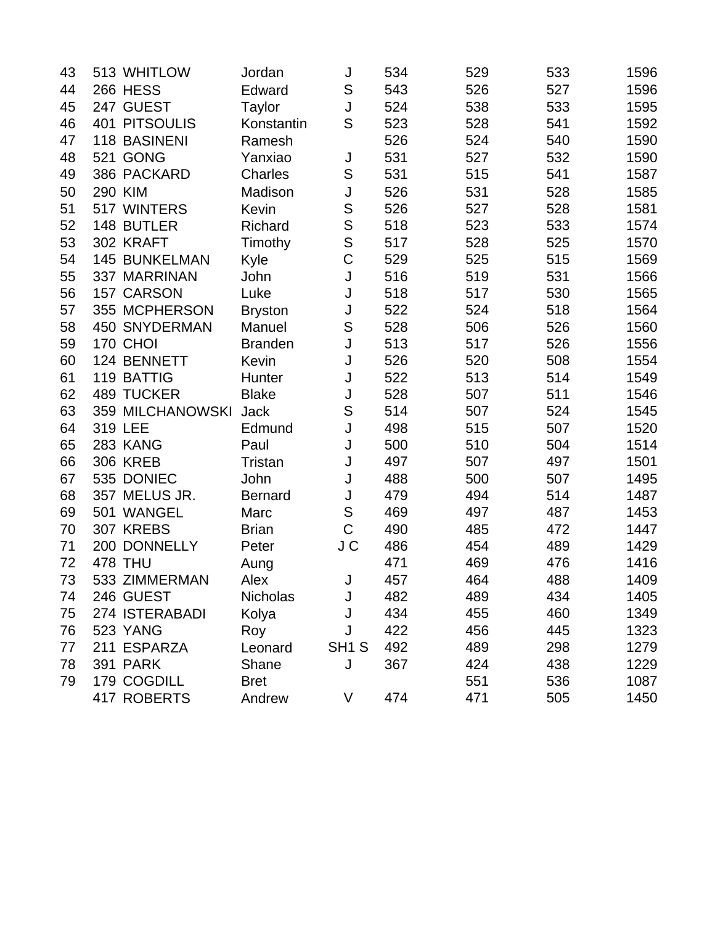| 43 | 513 WHITLOW          | Jordan          | J                 | 534 | 529 | 533 | 1596 |
|----|----------------------|-----------------|-------------------|-----|-----|-----|------|
| 44 | <b>266 HESS</b>      | Edward          | S                 | 543 | 526 | 527 | 1596 |
| 45 | 247 GUEST            | Taylor          | J                 | 524 | 538 | 533 | 1595 |
| 46 | <b>401 PITSOULIS</b> | Konstantin      | S                 | 523 | 528 | 541 | 1592 |
| 47 | 118 BASINENI         | Ramesh          |                   | 526 | 524 | 540 | 1590 |
| 48 | 521 GONG             | Yanxiao         | J                 | 531 | 527 | 532 | 1590 |
| 49 | 386 PACKARD          | Charles         | S                 | 531 | 515 | 541 | 1587 |
| 50 | 290 KIM              | Madison         | J                 | 526 | 531 | 528 | 1585 |
| 51 | 517 WINTERS          | Kevin           | S                 | 526 | 527 | 528 | 1581 |
| 52 | 148 BUTLER           | Richard         | S                 | 518 | 523 | 533 | 1574 |
| 53 | 302 KRAFT            | Timothy         | S                 | 517 | 528 | 525 | 1570 |
| 54 | 145 BUNKELMAN        | Kyle            | $\overline{C}$    | 529 | 525 | 515 | 1569 |
| 55 | 337 MARRINAN         | John            | J                 | 516 | 519 | 531 | 1566 |
| 56 | 157 CARSON           | Luke            | J                 | 518 | 517 | 530 | 1565 |
| 57 | 355 MCPHERSON        | <b>Bryston</b>  | J                 | 522 | 524 | 518 | 1564 |
| 58 | <b>450 SNYDERMAN</b> | Manuel          | S                 | 528 | 506 | 526 | 1560 |
| 59 | 170 CHOI             | <b>Branden</b>  | J                 | 513 | 517 | 526 | 1556 |
| 60 | 124 BENNETT          | Kevin           | J                 | 526 | 520 | 508 | 1554 |
| 61 | 119 BATTIG           | Hunter          | J                 | 522 | 513 | 514 | 1549 |
| 62 | <b>489 TUCKER</b>    | <b>Blake</b>    | J                 | 528 | 507 | 511 | 1546 |
| 63 | 359 MILCHANOWSKI     | <b>Jack</b>     | S                 | 514 | 507 | 524 | 1545 |
| 64 | 319 LEE              | Edmund          | J                 | 498 | 515 | 507 | 1520 |
| 65 | 283 KANG             | Paul            | J                 | 500 | 510 | 504 | 1514 |
| 66 | <b>306 KREB</b>      | <b>Tristan</b>  | J                 | 497 | 507 | 497 | 1501 |
| 67 | 535 DONIEC           | John            | J                 | 488 | 500 | 507 | 1495 |
| 68 | 357 MELUS JR.        | <b>Bernard</b>  | J                 | 479 | 494 | 514 | 1487 |
| 69 | 501 WANGEL           | Marc            | S                 | 469 | 497 | 487 | 1453 |
| 70 | 307 KREBS            | <b>Brian</b>    | $\overline{C}$    | 490 | 485 | 472 | 1447 |
| 71 | 200 DONNELLY         | Peter           | J C               | 486 | 454 | 489 | 1429 |
| 72 | <b>478 THU</b>       | Aung            |                   | 471 | 469 | 476 | 1416 |
| 73 | 533 ZIMMERMAN        | Alex            | J                 | 457 | 464 | 488 | 1409 |
| 74 | 246 GUEST            | <b>Nicholas</b> | J                 | 482 | 489 | 434 | 1405 |
| 75 | 274 ISTERABADI       | Kolya           | J                 | 434 | 455 | 460 | 1349 |
| 76 | 523 YANG             | Roy             | J                 | 422 | 456 | 445 | 1323 |
| 77 | 211 ESPARZA          | Leonard         | SH <sub>1</sub> S | 492 | 489 | 298 | 1279 |
| 78 | <b>391 PARK</b>      | Shane           | J                 | 367 | 424 | 438 | 1229 |
| 79 | 179 COGDILL          | <b>Bret</b>     |                   |     | 551 | 536 | 1087 |
|    | 417 ROBERTS          | Andrew          | V                 | 474 | 471 | 505 | 1450 |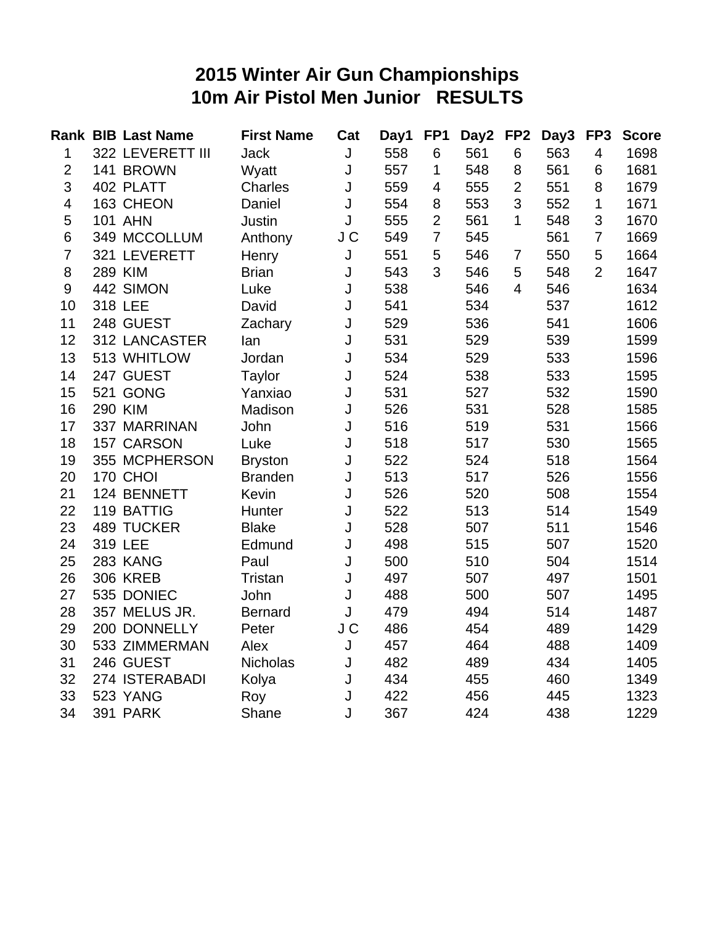#### **2015 Winter Air Gun Championships 10m Air Pistol Men Junior RESULTS**

|                | <b>Rank BIB Last Name</b> | <b>First Name</b> | Cat | Day1 | FP <sub>1</sub> | Day2 | FP <sub>2</sub> | Day3 | FP <sub>3</sub> | <b>Score</b> |
|----------------|---------------------------|-------------------|-----|------|-----------------|------|-----------------|------|-----------------|--------------|
| 1              | 322 LEVERETT III          | <b>Jack</b>       | J   | 558  | 6               | 561  | 6               | 563  | $\overline{4}$  | 1698         |
| $\overline{2}$ | 141 BROWN                 | Wyatt             | J   | 557  | 1               | 548  | 8               | 561  | 6               | 1681         |
| 3              | 402 PLATT                 | <b>Charles</b>    | J   | 559  | 4               | 555  | $\overline{2}$  | 551  | 8               | 1679         |
| 4              | 163 CHEON                 | Daniel            | J   | 554  | 8               | 553  | 3               | 552  | $\mathbf{1}$    | 1671         |
| 5              | <b>101 AHN</b>            | Justin            | J   | 555  | $\overline{2}$  | 561  | 1               | 548  | 3               | 1670         |
| 6              | 349 MCCOLLUM              | Anthony           | J C | 549  | $\overline{7}$  | 545  |                 | 561  | $\overline{7}$  | 1669         |
| $\overline{7}$ | 321 LEVERETT              | Henry             | J   | 551  | 5               | 546  | 7               | 550  | 5               | 1664         |
| 8              | 289 KIM                   | <b>Brian</b>      | J   | 543  | 3               | 546  | 5               | 548  | $\overline{2}$  | 1647         |
| 9              | 442 SIMON                 | Luke              | J   | 538  |                 | 546  | $\overline{4}$  | 546  |                 | 1634         |
| 10             | 318 LEE                   | David             | J   | 541  |                 | 534  |                 | 537  |                 | 1612         |
| 11             | 248 GUEST                 | Zachary           | J   | 529  |                 | 536  |                 | 541  |                 | 1606         |
| 12             | 312 LANCASTER             | lan               | J   | 531  |                 | 529  |                 | 539  |                 | 1599         |
| 13             | 513 WHITLOW               | Jordan            | J   | 534  |                 | 529  |                 | 533  |                 | 1596         |
| 14             | 247 GUEST                 | Taylor            | J   | 524  |                 | 538  |                 | 533  |                 | 1595         |
| 15             | 521 GONG                  | Yanxiao           | J   | 531  |                 | 527  |                 | 532  |                 | 1590         |
| 16             | <b>290 KIM</b>            | Madison           | J   | 526  |                 | 531  |                 | 528  |                 | 1585         |
| 17             | 337 MARRINAN              | John              | J   | 516  |                 | 519  |                 | 531  |                 | 1566         |
| 18             | 157 CARSON                | Luke              | J   | 518  |                 | 517  |                 | 530  |                 | 1565         |
| 19             | 355 MCPHERSON             | <b>Bryston</b>    | J   | 522  |                 | 524  |                 | 518  |                 | 1564         |
| 20             | <b>170 CHOI</b>           | <b>Branden</b>    | J   | 513  |                 | 517  |                 | 526  |                 | 1556         |
| 21             | 124 BENNETT               | Kevin             | J   | 526  |                 | 520  |                 | 508  |                 | 1554         |
| 22             | 119 BATTIG                | Hunter            | J   | 522  |                 | 513  |                 | 514  |                 | 1549         |
| 23             | <b>489 TUCKER</b>         | <b>Blake</b>      | J   | 528  |                 | 507  |                 | 511  |                 | 1546         |
| 24             | 319 LEE                   | Edmund            | J   | 498  |                 | 515  |                 | 507  |                 | 1520         |
| 25             | 283 KANG                  | Paul              | J   | 500  |                 | 510  |                 | 504  |                 | 1514         |
| 26             | <b>306 KREB</b>           | Tristan           | J   | 497  |                 | 507  |                 | 497  |                 | 1501         |
| 27             | 535 DONIEC                | John              | J   | 488  |                 | 500  |                 | 507  |                 | 1495         |
| 28             | 357 MELUS JR.             | <b>Bernard</b>    | J   | 479  |                 | 494  |                 | 514  |                 | 1487         |
| 29             | 200 DONNELLY              | Peter             | J C | 486  |                 | 454  |                 | 489  |                 | 1429         |
| 30             | 533 ZIMMERMAN             | Alex              | J   | 457  |                 | 464  |                 | 488  |                 | 1409         |
| 31             | 246 GUEST                 | <b>Nicholas</b>   | J   | 482  |                 | 489  |                 | 434  |                 | 1405         |
| 32             | 274 ISTERABADI            | Kolya             | J   | 434  |                 | 455  |                 | 460  |                 | 1349         |
| 33             | 523 YANG                  | Roy               | J   | 422  |                 | 456  |                 | 445  |                 | 1323         |
| 34             | <b>391 PARK</b>           | Shane             | J   | 367  |                 | 424  |                 | 438  |                 | 1229         |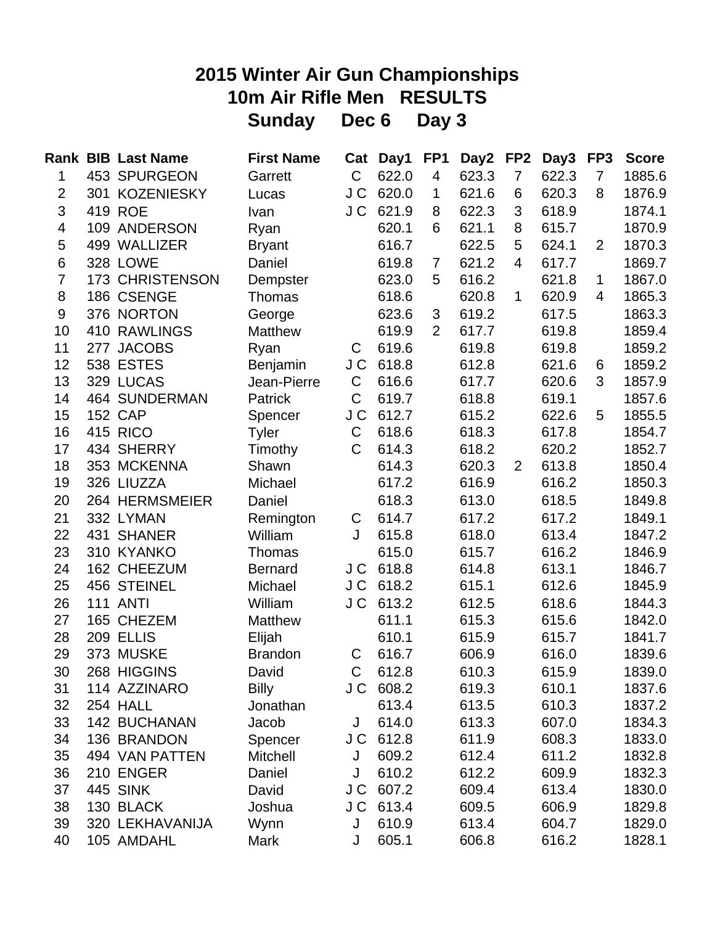# **2015 Winter Air Gun Championships 10m Air Rifle Men RESULTS Sunday Dec 6 Day 3**

|                         |     | <b>Rank BIB Last Name</b> | <b>First Name</b> | Cat          | Day1      | FP <sub>1</sub> | Day2  | FP <sub>2</sub> | Day3  | FP <sub>3</sub> | <b>Score</b> |
|-------------------------|-----|---------------------------|-------------------|--------------|-----------|-----------------|-------|-----------------|-------|-----------------|--------------|
| 1                       |     | 453 SPURGEON              | Garrett           | C            | 622.0     | 4               | 623.3 | $\overline{7}$  | 622.3 | $\overline{7}$  | 1885.6       |
| $\overline{2}$          |     | 301 KOZENIESKY            | Lucas             | J C          | 620.0     | 1               | 621.6 | 6               | 620.3 | 8               | 1876.9       |
| 3                       |     | 419 ROE                   | Ivan              | J C          | 621.9     | 8               | 622.3 | 3               | 618.9 |                 | 1874.1       |
| $\overline{\mathbf{4}}$ |     | 109 ANDERSON              | Ryan              |              | 620.1     | 6               | 621.1 | 8               | 615.7 |                 | 1870.9       |
| 5                       |     | 499 WALLIZER              | <b>Bryant</b>     |              | 616.7     |                 | 622.5 | 5               | 624.1 | $\overline{2}$  | 1870.3       |
| 6                       |     | 328 LOWE                  | Daniel            |              | 619.8     | 7               | 621.2 | 4               | 617.7 |                 | 1869.7       |
| $\overline{7}$          |     | 173 CHRISTENSON           | Dempster          |              | 623.0     | 5               | 616.2 |                 | 621.8 | 1               | 1867.0       |
| 8                       |     | 186 CSENGE                | Thomas            |              | 618.6     |                 | 620.8 | 1               | 620.9 | 4               | 1865.3       |
| 9                       |     | 376 NORTON                | George            |              | 623.6     | 3               | 619.2 |                 | 617.5 |                 | 1863.3       |
| 10                      |     | 410 RAWLINGS              | <b>Matthew</b>    |              | 619.9     | $\overline{2}$  | 617.7 |                 | 619.8 |                 | 1859.4       |
| 11                      | 277 | <b>JACOBS</b>             | Ryan              | $\mathsf C$  | 619.6     |                 | 619.8 |                 | 619.8 |                 | 1859.2       |
| 12                      |     | 538 ESTES                 | Benjamin          | J C          | 618.8     |                 | 612.8 |                 | 621.6 | 6               | 1859.2       |
| 13                      |     | 329 LUCAS                 | Jean-Pierre       | C            | 616.6     |                 | 617.7 |                 | 620.6 | 3               | 1857.9       |
| 14                      |     | <b>464 SUNDERMAN</b>      | Patrick           | C            | 619.7     |                 | 618.8 |                 | 619.1 |                 | 1857.6       |
| 15                      |     | <b>152 CAP</b>            | Spencer           | J C          | 612.7     |                 | 615.2 |                 | 622.6 | 5               | 1855.5       |
| 16                      |     | 415 RICO                  | Tyler             | C            | 618.6     |                 | 618.3 |                 | 617.8 |                 | 1854.7       |
| 17                      |     | 434 SHERRY                | Timothy           | $\mathsf C$  | 614.3     |                 | 618.2 |                 | 620.2 |                 | 1852.7       |
| 18                      |     | 353 MCKENNA               | Shawn             |              | 614.3     |                 | 620.3 | $\overline{2}$  | 613.8 |                 | 1850.4       |
| 19                      |     | 326 LIUZZA                | Michael           |              | 617.2     |                 | 616.9 |                 | 616.2 |                 | 1850.3       |
| 20                      |     | 264 HERMSMEIER            | Daniel            |              | 618.3     |                 | 613.0 |                 | 618.5 |                 | 1849.8       |
| 21                      |     | 332 LYMAN                 | Remington         | C            | 614.7     |                 | 617.2 |                 | 617.2 |                 | 1849.1       |
| 22                      |     | 431 SHANER                | William           | J            | 615.8     |                 | 618.0 |                 | 613.4 |                 | 1847.2       |
| 23                      |     | 310 KYANKO                | Thomas            |              | 615.0     |                 | 615.7 |                 | 616.2 |                 | 1846.9       |
| 24                      |     | 162 CHEEZUM               | <b>Bernard</b>    | J C          | 618.8     |                 | 614.8 |                 | 613.1 |                 | 1846.7       |
| 25                      |     | 456 STEINEL               | Michael           | J C          | 618.2     |                 | 615.1 |                 | 612.6 |                 | 1845.9       |
| 26                      |     | <b>111 ANTI</b>           | William           | J C          | 613.2     |                 | 612.5 |                 | 618.6 |                 | 1844.3       |
| 27                      |     | 165 CHEZEM                | Matthew           |              | 611.1     |                 | 615.3 |                 | 615.6 |                 | 1842.0       |
| 28                      |     | 209 ELLIS                 | Elijah            |              | 610.1     |                 | 615.9 |                 | 615.7 |                 | 1841.7       |
| 29                      |     | 373 MUSKE                 | <b>Brandon</b>    | C            | 616.7     |                 | 606.9 |                 | 616.0 |                 | 1839.6       |
| 30                      |     | 268 HIGGINS               | David             | $\mathsf{C}$ | 612.8     |                 | 610.3 |                 | 615.9 |                 | 1839.0       |
| 31                      |     | 114 AZZINARO              | <b>Billy</b>      |              | J C 608.2 |                 | 619.3 |                 | 610.1 |                 | 1837.6       |
| 32                      |     | 254 HALL                  | Jonathan          |              | 613.4     |                 | 613.5 |                 | 610.3 |                 | 1837.2       |
| 33                      |     | 142 BUCHANAN              | Jacob             | J            | 614.0     |                 | 613.3 |                 | 607.0 |                 | 1834.3       |
| 34                      |     | 136 BRANDON               | Spencer           |              | J C 612.8 |                 | 611.9 |                 | 608.3 |                 | 1833.0       |
| 35                      |     | 494 VAN PATTEN            | <b>Mitchell</b>   | J            | 609.2     |                 | 612.4 |                 | 611.2 |                 | 1832.8       |
| 36                      |     | 210 ENGER                 | Daniel            | J            | 610.2     |                 | 612.2 |                 | 609.9 |                 | 1832.3       |
| 37                      |     | <b>445 SINK</b>           | David             | J C          | 607.2     |                 | 609.4 |                 | 613.4 |                 | 1830.0       |
| 38                      |     | 130 BLACK                 | Joshua            | J C          | 613.4     |                 | 609.5 |                 | 606.9 |                 | 1829.8       |
| 39                      |     | 320 LEKHAVANIJA           | Wynn              | J            | 610.9     |                 | 613.4 |                 | 604.7 |                 | 1829.0       |
| 40                      |     | 105 AMDAHL                | Mark              | J            | 605.1     |                 | 606.8 |                 | 616.2 |                 | 1828.1       |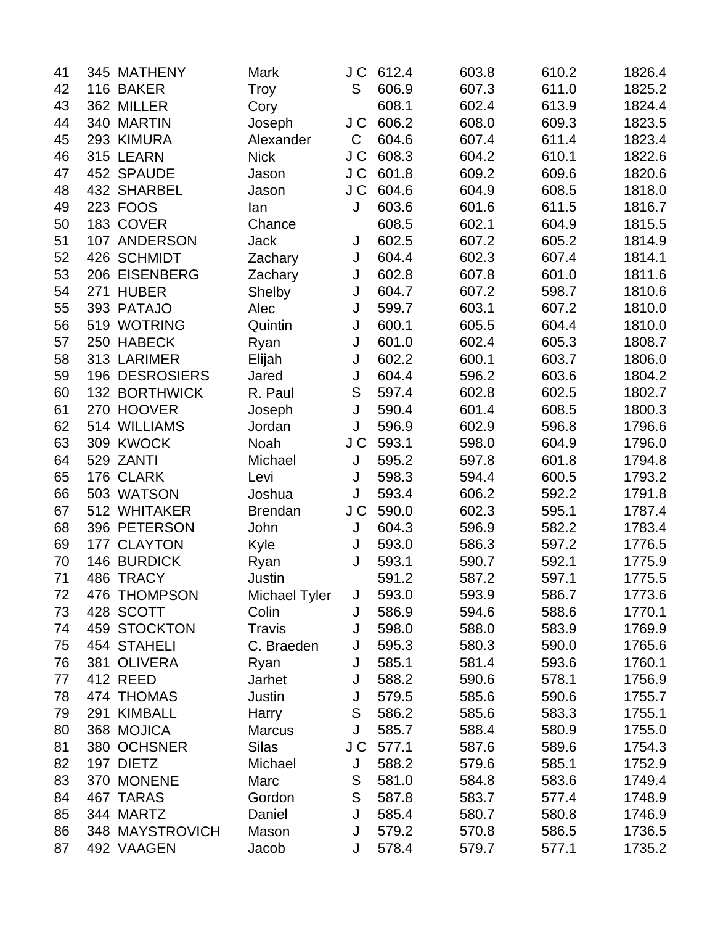| 41 | 345 MATHENY           | Mark           | J C           | 612.4 | 603.8 | 610.2 | 1826.4 |
|----|-----------------------|----------------|---------------|-------|-------|-------|--------|
| 42 | 116 BAKER             | Troy           | S             | 606.9 | 607.3 | 611.0 | 1825.2 |
| 43 | 362 MILLER            | Cory           |               | 608.1 | 602.4 | 613.9 | 1824.4 |
| 44 | 340 MARTIN            | Joseph         | J C           | 606.2 | 608.0 | 609.3 | 1823.5 |
| 45 | 293 KIMURA            | Alexander      | $\mathsf C$   | 604.6 | 607.4 | 611.4 | 1823.4 |
| 46 | 315 LEARN             | <b>Nick</b>    | J C           | 608.3 | 604.2 | 610.1 | 1822.6 |
| 47 | 452 SPAUDE            | Jason          | J C           | 601.8 | 609.2 | 609.6 | 1820.6 |
| 48 | 432 SHARBEL           | Jason          | J C           | 604.6 | 604.9 | 608.5 | 1818.0 |
| 49 | 223 FOOS              | lan            | J             | 603.6 | 601.6 | 611.5 | 1816.7 |
| 50 | 183 COVER             | Chance         |               | 608.5 | 602.1 | 604.9 | 1815.5 |
| 51 | 107 ANDERSON          | <b>Jack</b>    | J             | 602.5 | 607.2 | 605.2 | 1814.9 |
| 52 | 426 SCHMIDT           | Zachary        | J             | 604.4 | 602.3 | 607.4 | 1814.1 |
| 53 | 206 EISENBERG         | Zachary        | J             | 602.8 | 607.8 | 601.0 | 1811.6 |
| 54 | 271 HUBER             | Shelby         | J             | 604.7 | 607.2 | 598.7 | 1810.6 |
| 55 | 393 PATAJO            | Alec           | J             | 599.7 | 603.1 | 607.2 | 1810.0 |
| 56 | 519 WOTRING           | Quintin        | J             | 600.1 | 605.5 | 604.4 | 1810.0 |
| 57 | 250 HABECK            | Ryan           | J             | 601.0 | 602.4 | 605.3 | 1808.7 |
| 58 | 313 LARIMER           | Elijah         | J             | 602.2 | 600.1 | 603.7 | 1806.0 |
| 59 | <b>196 DESROSIERS</b> | Jared          | J             | 604.4 | 596.2 | 603.6 | 1804.2 |
| 60 | 132 BORTHWICK         | R. Paul        | S             | 597.4 | 602.8 | 602.5 | 1802.7 |
| 61 | 270 HOOVER            | Joseph         | J             | 590.4 | 601.4 | 608.5 | 1800.3 |
| 62 | 514 WILLIAMS          | Jordan         | J             | 596.9 | 602.9 | 596.8 | 1796.6 |
| 63 | 309 KWOCK             | Noah           | J C           | 593.1 | 598.0 | 604.9 | 1796.0 |
| 64 | 529 ZANTI             | Michael        | J             | 595.2 | 597.8 | 601.8 | 1794.8 |
| 65 | 176 CLARK             | Levi           | J             | 598.3 | 594.4 | 600.5 | 1793.2 |
| 66 | 503 WATSON            | Joshua         | J             | 593.4 | 606.2 | 592.2 | 1791.8 |
| 67 | 512 WHITAKER          | <b>Brendan</b> | J C           | 590.0 | 602.3 | 595.1 | 1787.4 |
| 68 | 396 PETERSON          | John           | J             | 604.3 | 596.9 | 582.2 | 1783.4 |
| 69 | 177 CLAYTON           | Kyle           | J             | 593.0 | 586.3 | 597.2 | 1776.5 |
| 70 | 146 BURDICK           | Ryan           | J             | 593.1 | 590.7 | 592.1 | 1775.9 |
| 71 | 486 TRACY             | Justin         |               | 591.2 | 587.2 | 597.1 | 1775.5 |
| 72 | 476 THOMPSON          | Michael Tyler  | J             | 593.0 | 593.9 | 586.7 | 1773.6 |
| 73 | 428 SCOTT             | Colin          | J             | 586.9 | 594.6 | 588.6 | 1770.1 |
| 74 | 459 STOCKTON          | <b>Travis</b>  | J             | 598.0 | 588.0 | 583.9 | 1769.9 |
| 75 | 454 STAHELI           | C. Braeden     | J             | 595.3 | 580.3 | 590.0 | 1765.6 |
| 76 | 381 OLIVERA           | Ryan           | J             | 585.1 | 581.4 | 593.6 | 1760.1 |
| 77 | 412 REED              | Jarhet         | J             | 588.2 | 590.6 | 578.1 | 1756.9 |
| 78 | 474 THOMAS            | Justin         | J             | 579.5 | 585.6 | 590.6 | 1755.7 |
| 79 | 291 KIMBALL           | Harry          | S             | 586.2 | 585.6 | 583.3 | 1755.1 |
| 80 | 368 MOJICA            | <b>Marcus</b>  | J             | 585.7 | 588.4 | 580.9 | 1755.0 |
| 81 | 380 OCHSNER           | <b>Silas</b>   | J C           | 577.1 | 587.6 | 589.6 | 1754.3 |
| 82 | 197 DIETZ             | Michael        | J             | 588.2 | 579.6 | 585.1 | 1752.9 |
| 83 | 370 MONENE            | Marc           | S             | 581.0 | 584.8 | 583.6 | 1749.4 |
| 84 | 467 TARAS             | Gordon         | ${\mathsf S}$ | 587.8 | 583.7 | 577.4 | 1748.9 |
| 85 | 344 MARTZ             | Daniel         | J             | 585.4 | 580.7 | 580.8 | 1746.9 |
| 86 | 348 MAYSTROVICH       | Mason          | J             | 579.2 | 570.8 | 586.5 | 1736.5 |
| 87 | 492 VAAGEN            | Jacob          | J             | 578.4 | 579.7 | 577.1 | 1735.2 |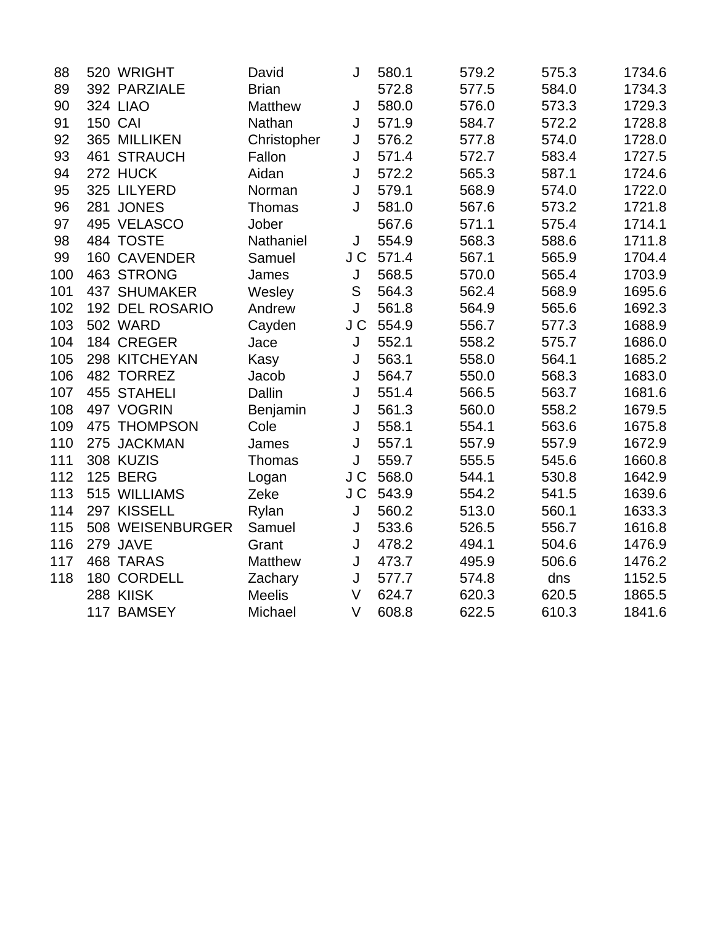| 88  |                | 520 WRIGHT          | David         | J      | 580.1 | 579.2 | 575.3 | 1734.6 |
|-----|----------------|---------------------|---------------|--------|-------|-------|-------|--------|
| 89  |                | 392 PARZIALE        | <b>Brian</b>  |        | 572.8 | 577.5 | 584.0 | 1734.3 |
| 90  |                | <b>324 LIAO</b>     | Matthew       | J      | 580.0 | 576.0 | 573.3 | 1729.3 |
| 91  | <b>150 CAI</b> |                     | Nathan        | J      | 571.9 | 584.7 | 572.2 | 1728.8 |
| 92  |                | 365 MILLIKEN        | Christopher   | J      | 576.2 | 577.8 | 574.0 | 1728.0 |
| 93  |                | 461 STRAUCH         | Fallon        | J      | 571.4 | 572.7 | 583.4 | 1727.5 |
| 94  |                | 272 HUCK            | Aidan         | J      | 572.2 | 565.3 | 587.1 | 1724.6 |
| 95  |                | 325 LILYERD         | Norman        | J      | 579.1 | 568.9 | 574.0 | 1722.0 |
| 96  |                | 281 JONES           | <b>Thomas</b> | J      | 581.0 | 567.6 | 573.2 | 1721.8 |
| 97  |                | 495 VELASCO         | Jober         |        | 567.6 | 571.1 | 575.4 | 1714.1 |
| 98  |                | 484 TOSTE           | Nathaniel     | J      | 554.9 | 568.3 | 588.6 | 1711.8 |
| 99  |                | 160 CAVENDER        | Samuel        | J C    | 571.4 | 567.1 | 565.9 | 1704.4 |
| 100 |                | 463 STRONG          | James         | J      | 568.5 | 570.0 | 565.4 | 1703.9 |
| 101 |                | <b>437 SHUMAKER</b> | Wesley        | S      | 564.3 | 562.4 | 568.9 | 1695.6 |
| 102 |                | 192 DEL ROSARIO     | Andrew        | J      | 561.8 | 564.9 | 565.6 | 1692.3 |
| 103 |                | <b>502 WARD</b>     | Cayden        | J C    | 554.9 | 556.7 | 577.3 | 1688.9 |
| 104 |                | 184 CREGER          | Jace          | J      | 552.1 | 558.2 | 575.7 | 1686.0 |
| 105 |                | 298 KITCHEYAN       | Kasy          | J      | 563.1 | 558.0 | 564.1 | 1685.2 |
| 106 |                | 482 TORREZ          | Jacob         | J      | 564.7 | 550.0 | 568.3 | 1683.0 |
| 107 |                | 455 STAHELI         | Dallin        | J      | 551.4 | 566.5 | 563.7 | 1681.6 |
| 108 |                | 497 VOGRIN          | Benjamin      | J      | 561.3 | 560.0 | 558.2 | 1679.5 |
| 109 |                | 475 THOMPSON        | Cole          | J      | 558.1 | 554.1 | 563.6 | 1675.8 |
| 110 |                | 275 JACKMAN         | James         | J      | 557.1 | 557.9 | 557.9 | 1672.9 |
| 111 |                | 308 KUZIS           | Thomas        | J      | 559.7 | 555.5 | 545.6 | 1660.8 |
| 112 |                | <b>125 BERG</b>     | Logan         | J C    | 568.0 | 544.1 | 530.8 | 1642.9 |
| 113 |                | 515 WILLIAMS        | Zeke          | J C    | 543.9 | 554.2 | 541.5 | 1639.6 |
| 114 |                | 297 KISSELL         | Rylan         | J      | 560.2 | 513.0 | 560.1 | 1633.3 |
| 115 |                | 508 WEISENBURGER    | Samuel        | J      | 533.6 | 526.5 | 556.7 | 1616.8 |
| 116 |                | 279 JAVE            | Grant         | J      | 478.2 | 494.1 | 504.6 | 1476.9 |
| 117 |                | 468 TARAS           | Matthew       | J      | 473.7 | 495.9 | 506.6 | 1476.2 |
| 118 |                | 180 CORDELL         | Zachary       | J      | 577.7 | 574.8 | dns   | 1152.5 |
|     |                | 288 KIISK           | <b>Meelis</b> | $\vee$ | 624.7 | 620.3 | 620.5 | 1865.5 |
|     |                | 117 BAMSEY          | Michael       | $\vee$ | 608.8 | 622.5 | 610.3 | 1841.6 |
|     |                |                     |               |        |       |       |       |        |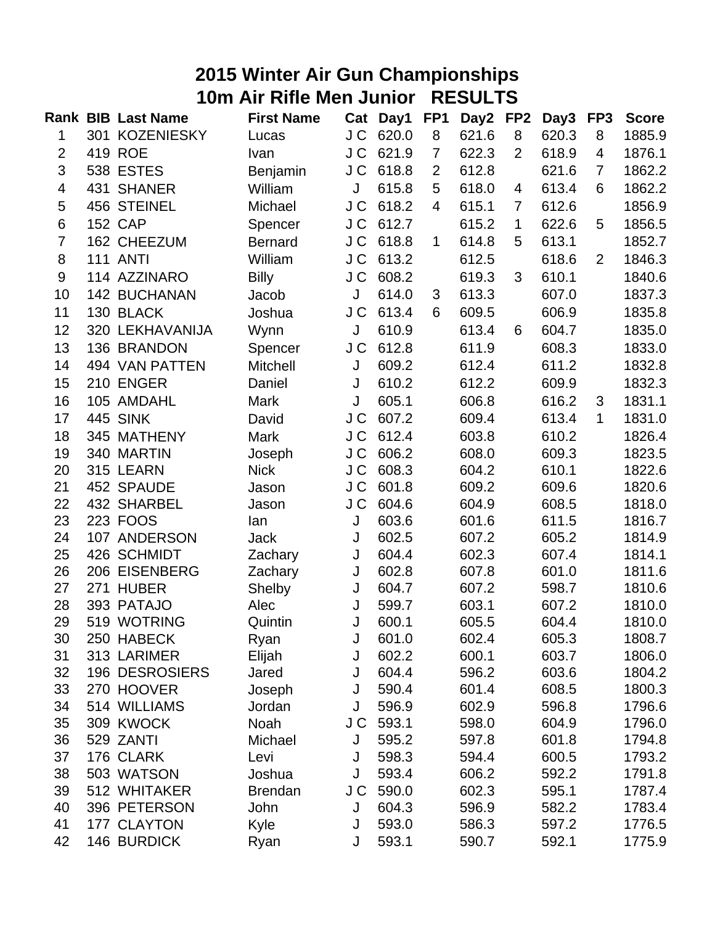## **2015 Winter Air Gun Championships 10m Air Rifle Men Junior RESULTS**

|                |     | <b>Rank BIB Last Name</b> | <b>First Name</b> |     | Cat Day1 | FP <sub>1</sub> | Day <sub>2</sub> | FP <sub>2</sub> | Day3  | FP <sub>3</sub> | <b>Score</b> |
|----------------|-----|---------------------------|-------------------|-----|----------|-----------------|------------------|-----------------|-------|-----------------|--------------|
| 1              |     | 301 KOZENIESKY            | Lucas             | J C | 620.0    | 8               | 621.6            | 8               | 620.3 | 8               | 1885.9       |
| $\overline{2}$ |     | 419 ROE                   | Ivan              | J C | 621.9    | 7               | 622.3            | $\overline{2}$  | 618.9 | 4               | 1876.1       |
| 3              |     | 538 ESTES                 | Benjamin          | J C | 618.8    | $\overline{2}$  | 612.8            |                 | 621.6 | $\overline{7}$  | 1862.2       |
| 4              | 431 | <b>SHANER</b>             | William           | J   | 615.8    | 5               | 618.0            | 4               | 613.4 | 6               | 1862.2       |
| 5              |     | 456 STEINEL               | Michael           | J C | 618.2    | 4               | 615.1            | $\overline{7}$  | 612.6 |                 | 1856.9       |
| 6              |     | <b>152 CAP</b>            | Spencer           | J C | 612.7    |                 | 615.2            | $\mathbf 1$     | 622.6 | 5               | 1856.5       |
| $\overline{7}$ |     | 162 CHEEZUM               | <b>Bernard</b>    | J C | 618.8    | $\mathbf{1}$    | 614.8            | 5               | 613.1 |                 | 1852.7       |
| 8              |     | <b>111 ANTI</b>           | William           | J C | 613.2    |                 | 612.5            |                 | 618.6 | $\overline{2}$  | 1846.3       |
| $9\,$          |     | 114 AZZINARO              | <b>Billy</b>      | J C | 608.2    |                 | 619.3            | 3               | 610.1 |                 | 1840.6       |
| 10             |     | <b>142 BUCHANAN</b>       | Jacob             | J   | 614.0    | 3               | 613.3            |                 | 607.0 |                 | 1837.3       |
| 11             |     | 130 BLACK                 | Joshua            | J C | 613.4    | 6               | 609.5            |                 | 606.9 |                 | 1835.8       |
| 12             |     | 320 LEKHAVANIJA           | Wynn              | J   | 610.9    |                 | 613.4            | 6               | 604.7 |                 | 1835.0       |
| 13             |     | 136 BRANDON               | Spencer           | J C | 612.8    |                 | 611.9            |                 | 608.3 |                 | 1833.0       |
| 14             |     | 494 VAN PATTEN            | Mitchell          | J   | 609.2    |                 | 612.4            |                 | 611.2 |                 | 1832.8       |
| 15             |     | 210 ENGER                 | Daniel            | J   | 610.2    |                 | 612.2            |                 | 609.9 |                 | 1832.3       |
| 16             |     | 105 AMDAHL                | Mark              | J   | 605.1    |                 | 606.8            |                 | 616.2 | 3               | 1831.1       |
| 17             |     | <b>445 SINK</b>           | David             | J C | 607.2    |                 | 609.4            |                 | 613.4 | 1               | 1831.0       |
| 18             |     | 345 MATHENY               | <b>Mark</b>       | J C | 612.4    |                 | 603.8            |                 | 610.2 |                 | 1826.4       |
| 19             |     | 340 MARTIN                | Joseph            | J C | 606.2    |                 | 608.0            |                 | 609.3 |                 | 1823.5       |
| 20             |     | 315 LEARN                 | <b>Nick</b>       | J C | 608.3    |                 | 604.2            |                 | 610.1 |                 | 1822.6       |
| 21             |     | 452 SPAUDE                | Jason             | J C | 601.8    |                 | 609.2            |                 | 609.6 |                 | 1820.6       |
| 22             |     | 432 SHARBEL               | Jason             | J C | 604.6    |                 | 604.9            |                 | 608.5 |                 | 1818.0       |
| 23             |     | 223 FOOS                  | lan               | J   | 603.6    |                 | 601.6            |                 | 611.5 |                 | 1816.7       |
| 24             |     | 107 ANDERSON              | <b>Jack</b>       | J   | 602.5    |                 | 607.2            |                 | 605.2 |                 | 1814.9       |
| 25             |     | 426 SCHMIDT               | Zachary           | J   | 604.4    |                 | 602.3            |                 | 607.4 |                 | 1814.1       |
| 26             |     | 206 EISENBERG             | Zachary           | J   | 602.8    |                 | 607.8            |                 | 601.0 |                 | 1811.6       |
| 27             | 271 | <b>HUBER</b>              | Shelby            | J   | 604.7    |                 | 607.2            |                 | 598.7 |                 | 1810.6       |
| 28             |     | 393 PATAJO                | Alec              | J   | 599.7    |                 | 603.1            |                 | 607.2 |                 | 1810.0       |
| 29             |     | 519 WOTRING               | Quintin           | J   | 600.1    |                 | 605.5            |                 | 604.4 |                 | 1810.0       |
| 30             |     | 250 HABECK                | Ryan              | J   | 601.0    |                 | 602.4            |                 | 605.3 |                 | 1808.7       |
| 31             |     | 313 LARIMER               | Elijah            | J   | 602.2    |                 | 600.1            |                 | 603.7 |                 | 1806.0       |
| 32             |     | <b>196 DESROSIERS</b>     | Jared             | J   | 604.4    |                 | 596.2            |                 | 603.6 |                 | 1804.2       |
| 33             |     | 270 HOOVER                | Joseph            | J   | 590.4    |                 | 601.4            |                 | 608.5 |                 | 1800.3       |
| 34             |     | 514 WILLIAMS              | Jordan            | J   | 596.9    |                 | 602.9            |                 | 596.8 |                 | 1796.6       |
| 35             |     | 309 KWOCK                 | Noah              | J C | 593.1    |                 | 598.0            |                 | 604.9 |                 | 1796.0       |
| 36             |     | 529 ZANTI                 | Michael           | J   | 595.2    |                 | 597.8            |                 | 601.8 |                 | 1794.8       |
| 37             |     | 176 CLARK                 | Levi              | J   | 598.3    |                 | 594.4            |                 | 600.5 |                 | 1793.2       |
| 38             |     | 503 WATSON                | Joshua            | J   | 593.4    |                 | 606.2            |                 | 592.2 |                 | 1791.8       |
| 39             |     | 512 WHITAKER              | <b>Brendan</b>    | J C | 590.0    |                 | 602.3            |                 | 595.1 |                 | 1787.4       |
| 40             |     | 396 PETERSON              | John              | J   | 604.3    |                 | 596.9            |                 | 582.2 |                 | 1783.4       |
| 41             |     | 177 CLAYTON               | Kyle              | J   | 593.0    |                 | 586.3            |                 | 597.2 |                 | 1776.5       |
| 42             |     | 146 BURDICK               | Ryan              | J   | 593.1    |                 | 590.7            |                 | 592.1 |                 | 1775.9       |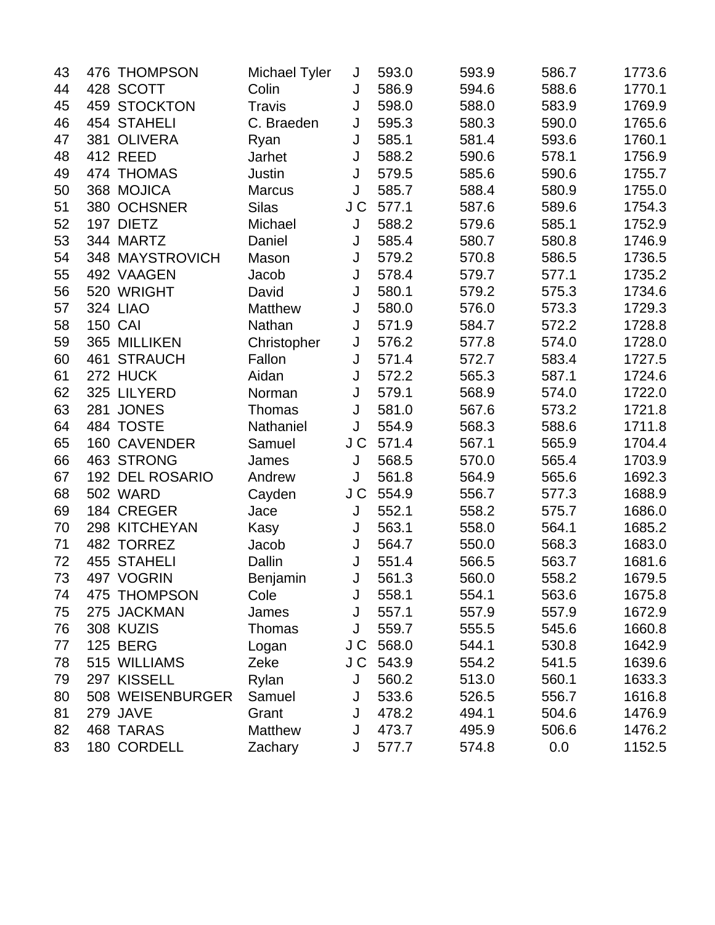| 43 | 476 THOMPSON     | Michael Tyler  | J   | 593.0 | 593.9 | 586.7 | 1773.6 |
|----|------------------|----------------|-----|-------|-------|-------|--------|
| 44 | 428 SCOTT        | Colin          | J   | 586.9 | 594.6 | 588.6 | 1770.1 |
| 45 | 459 STOCKTON     | <b>Travis</b>  | J   | 598.0 | 588.0 | 583.9 | 1769.9 |
| 46 | 454 STAHELI      | C. Braeden     | J   | 595.3 | 580.3 | 590.0 | 1765.6 |
| 47 | 381 OLIVERA      | Ryan           | J   | 585.1 | 581.4 | 593.6 | 1760.1 |
| 48 | <b>412 REED</b>  | Jarhet         | J   | 588.2 | 590.6 | 578.1 | 1756.9 |
| 49 | 474 THOMAS       | Justin         | J   | 579.5 | 585.6 | 590.6 | 1755.7 |
| 50 | 368 MOJICA       | <b>Marcus</b>  | J   | 585.7 | 588.4 | 580.9 | 1755.0 |
| 51 | 380 OCHSNER      | <b>Silas</b>   | J C | 577.1 | 587.6 | 589.6 | 1754.3 |
| 52 | 197 DIETZ        | Michael        | J   | 588.2 | 579.6 | 585.1 | 1752.9 |
| 53 | 344 MARTZ        | Daniel         | J   | 585.4 | 580.7 | 580.8 | 1746.9 |
| 54 | 348 MAYSTROVICH  | Mason          | J   | 579.2 | 570.8 | 586.5 | 1736.5 |
| 55 | 492 VAAGEN       | Jacob          | J   | 578.4 | 579.7 | 577.1 | 1735.2 |
| 56 | 520 WRIGHT       | David          | J   | 580.1 | 579.2 | 575.3 | 1734.6 |
| 57 | <b>324 LIAO</b>  | <b>Matthew</b> | J   | 580.0 | 576.0 | 573.3 | 1729.3 |
| 58 | <b>150 CAI</b>   | Nathan         | J   | 571.9 | 584.7 | 572.2 | 1728.8 |
| 59 | 365 MILLIKEN     | Christopher    | J   | 576.2 | 577.8 | 574.0 | 1728.0 |
| 60 | 461 STRAUCH      | Fallon         | J   | 571.4 | 572.7 | 583.4 | 1727.5 |
| 61 | 272 HUCK         | Aidan          | J   | 572.2 | 565.3 | 587.1 | 1724.6 |
| 62 | 325 LILYERD      | Norman         | J   | 579.1 | 568.9 | 574.0 | 1722.0 |
| 63 | 281 JONES        | Thomas         | J   | 581.0 | 567.6 | 573.2 | 1721.8 |
| 64 | 484 TOSTE        | Nathaniel      | J   | 554.9 | 568.3 | 588.6 | 1711.8 |
| 65 | 160 CAVENDER     | Samuel         | J C | 571.4 | 567.1 | 565.9 | 1704.4 |
| 66 | 463 STRONG       | James          | J   | 568.5 | 570.0 | 565.4 | 1703.9 |
| 67 | 192 DEL ROSARIO  | Andrew         | J   | 561.8 | 564.9 | 565.6 | 1692.3 |
| 68 | <b>502 WARD</b>  | Cayden         | J C | 554.9 | 556.7 | 577.3 | 1688.9 |
| 69 | 184 CREGER       | Jace           | J   | 552.1 | 558.2 | 575.7 | 1686.0 |
| 70 | 298 KITCHEYAN    | Kasy           | J   | 563.1 | 558.0 | 564.1 | 1685.2 |
| 71 | 482 TORREZ       | Jacob          | J   | 564.7 | 550.0 | 568.3 | 1683.0 |
| 72 | 455 STAHELI      | Dallin         | J   | 551.4 | 566.5 | 563.7 | 1681.6 |
| 73 | 497 VOGRIN       | Benjamin       | J   | 561.3 | 560.0 | 558.2 | 1679.5 |
| 74 | 475 THOMPSON     | Cole           | J   | 558.1 | 554.1 | 563.6 | 1675.8 |
| 75 | 275 JACKMAN      | James          | J   | 557.1 | 557.9 | 557.9 | 1672.9 |
| 76 | 308 KUZIS        | Thomas         | J   | 559.7 | 555.5 | 545.6 | 1660.8 |
| 77 | <b>125 BERG</b>  | Logan          | J C | 568.0 | 544.1 | 530.8 | 1642.9 |
| 78 | 515 WILLIAMS     | Zeke           | J C | 543.9 | 554.2 | 541.5 | 1639.6 |
| 79 | 297 KISSELL      | Rylan          | J   | 560.2 | 513.0 | 560.1 | 1633.3 |
| 80 | 508 WEISENBURGER | Samuel         | J   | 533.6 | 526.5 | 556.7 | 1616.8 |
| 81 | 279 JAVE         | Grant          | J   | 478.2 | 494.1 | 504.6 | 1476.9 |
| 82 | 468 TARAS        | Matthew        | J   | 473.7 | 495.9 | 506.6 | 1476.2 |
| 83 | 180 CORDELL      | Zachary        | J   | 577.7 | 574.8 | 0.0   | 1152.5 |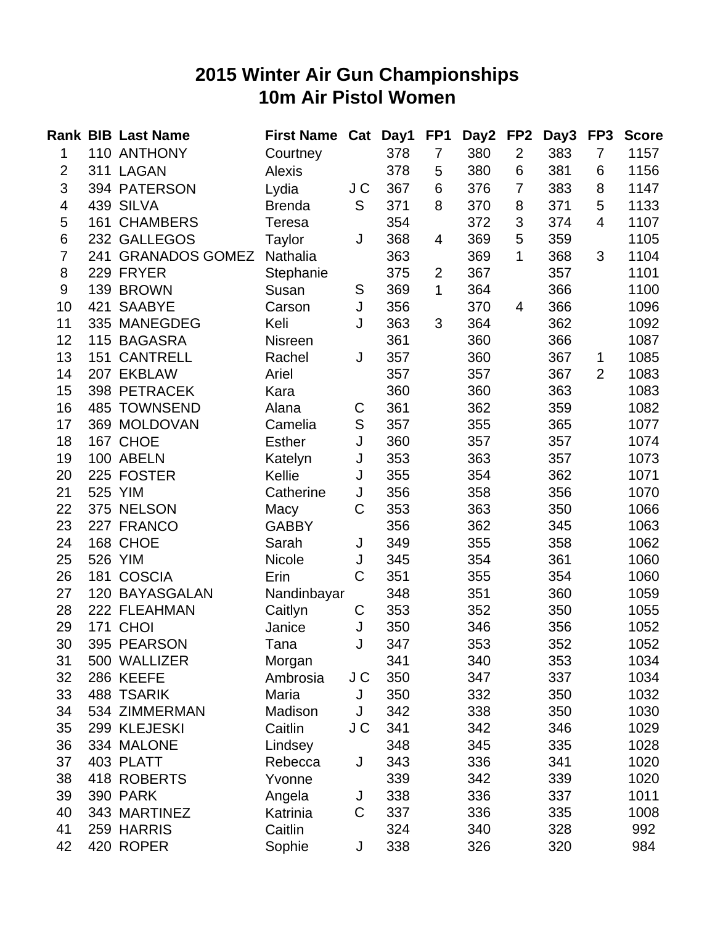## **2015 Winter Air Gun Championships 10m Air Pistol Women**

|                |         | <b>Rank BIB Last Name</b> | <b>First Name</b> | Cat | Day1 | FP <sub>1</sub> | Day2 | FP <sub>2</sub> | Day3 | FP <sub>3</sub> | <b>Score</b> |
|----------------|---------|---------------------------|-------------------|-----|------|-----------------|------|-----------------|------|-----------------|--------------|
| 1              |         | 110 ANTHONY               | Courtney          |     | 378  | 7               | 380  | $\overline{2}$  | 383  | 7               | 1157         |
| $\overline{2}$ |         | 311 LAGAN                 | <b>Alexis</b>     |     | 378  | 5               | 380  | 6               | 381  | 6               | 1156         |
| 3              |         | 394 PATERSON              | Lydia             | J C | 367  | 6               | 376  | $\overline{7}$  | 383  | 8               | 1147         |
| 4              |         | 439 SILVA                 | <b>Brenda</b>     | S   | 371  | 8               | 370  | 8               | 371  | 5               | 1133         |
| 5              |         | 161 CHAMBERS              | Teresa            |     | 354  |                 | 372  | 3               | 374  | $\overline{4}$  | 1107         |
| 6              |         | 232 GALLEGOS              | Taylor            | J   | 368  | 4               | 369  | 5               | 359  |                 | 1105         |
| $\overline{7}$ |         | 241 GRANADOS GOMEZ        | Nathalia          |     | 363  |                 | 369  | 1               | 368  | 3               | 1104         |
| 8              |         | 229 FRYER                 | Stephanie         |     | 375  | $\overline{2}$  | 367  |                 | 357  |                 | 1101         |
| 9              |         | 139 BROWN                 | Susan             | S   | 369  | 1               | 364  |                 | 366  |                 | 1100         |
| 10             | 421     | <b>SAABYE</b>             | Carson            | J   | 356  |                 | 370  | 4               | 366  |                 | 1096         |
| 11             |         | 335 MANEGDEG              | Keli              | J   | 363  | 3               | 364  |                 | 362  |                 | 1092         |
| 12             |         | 115 BAGASRA               | <b>Nisreen</b>    |     | 361  |                 | 360  |                 | 366  |                 | 1087         |
| 13             |         | 151 CANTRELL              | Rachel            | J   | 357  |                 | 360  |                 | 367  | 1               | 1085         |
| 14             |         | 207 EKBLAW                | Ariel             |     | 357  |                 | 357  |                 | 367  | $\overline{2}$  | 1083         |
| 15             |         | 398 PETRACEK              | Kara              |     | 360  |                 | 360  |                 | 363  |                 | 1083         |
| 16             |         | 485 TOWNSEND              | Alana             | C   | 361  |                 | 362  |                 | 359  |                 | 1082         |
| 17             |         | 369 MOLDOVAN              | Camelia           | S   | 357  |                 | 355  |                 | 365  |                 | 1077         |
| 18             |         | 167 CHOE                  | <b>Esther</b>     | J   | 360  |                 | 357  |                 | 357  |                 | 1074         |
| 19             |         | 100 ABELN                 | Katelyn           | J   | 353  |                 | 363  |                 | 357  |                 | 1073         |
| 20             |         | 225 FOSTER                | Kellie            | J   | 355  |                 | 354  |                 | 362  |                 | 1071         |
| 21             | 525 YIM |                           | Catherine         | J   | 356  |                 | 358  |                 | 356  |                 | 1070         |
| 22             |         | 375 NELSON                | Macy              | C   | 353  |                 | 363  |                 | 350  |                 | 1066         |
| 23             |         | 227 FRANCO                | <b>GABBY</b>      |     | 356  |                 | 362  |                 | 345  |                 | 1063         |
| 24             |         | 168 CHOE                  | Sarah             | J   | 349  |                 | 355  |                 | 358  |                 | 1062         |
| 25             |         | 526 YIM                   | Nicole            | J   | 345  |                 | 354  |                 | 361  |                 | 1060         |
| 26             |         | 181 COSCIA                | Erin              | C   | 351  |                 | 355  |                 | 354  |                 | 1060         |
| 27             |         | 120 BAYASGALAN            | Nandinbayar       |     | 348  |                 | 351  |                 | 360  |                 | 1059         |
| 28             |         | 222 FLEAHMAN              | Caitlyn           | С   | 353  |                 | 352  |                 | 350  |                 | 1055         |
| 29             |         | 171 CHOI                  | Janice            | J   | 350  |                 | 346  |                 | 356  |                 | 1052         |
| 30             |         | 395 PEARSON               | Tana              | J   | 347  |                 | 353  |                 | 352  |                 | 1052         |
| 31             |         | 500 WALLIZER              | Morgan            |     | 341  |                 | 340  |                 | 353  |                 | 1034         |
| 32             |         | 286 KEEFE                 | Ambrosia          | J C | 350  |                 | 347  |                 | 337  |                 | 1034         |
| 33             |         | 488 TSARIK                | Maria             | J   | 350  |                 | 332  |                 | 350  |                 | 1032         |
| 34             |         | 534 ZIMMERMAN             | Madison           | J   | 342  |                 | 338  |                 | 350  |                 | 1030         |
| 35             |         | 299 KLEJESKI              | Caitlin           | J C | 341  |                 | 342  |                 | 346  |                 | 1029         |
| 36             |         | 334 MALONE                | Lindsey           |     | 348  |                 | 345  |                 | 335  |                 | 1028         |
| 37             |         | 403 PLATT                 | Rebecca           | J   | 343  |                 | 336  |                 | 341  |                 | 1020         |
| 38             |         | 418 ROBERTS               | Yvonne            |     | 339  |                 | 342  |                 | 339  |                 | 1020         |
| 39             |         | 390 PARK                  | Angela            | J   | 338  |                 | 336  |                 | 337  |                 | 1011         |
| 40             |         | 343 MARTINEZ              | Katrinia          | C   | 337  |                 | 336  |                 | 335  |                 | 1008         |
| 41             |         | 259 HARRIS                | Caitlin           |     | 324  |                 | 340  |                 | 328  |                 | 992          |
| 42             |         | 420 ROPER                 | Sophie            | J   | 338  |                 | 326  |                 | 320  |                 | 984          |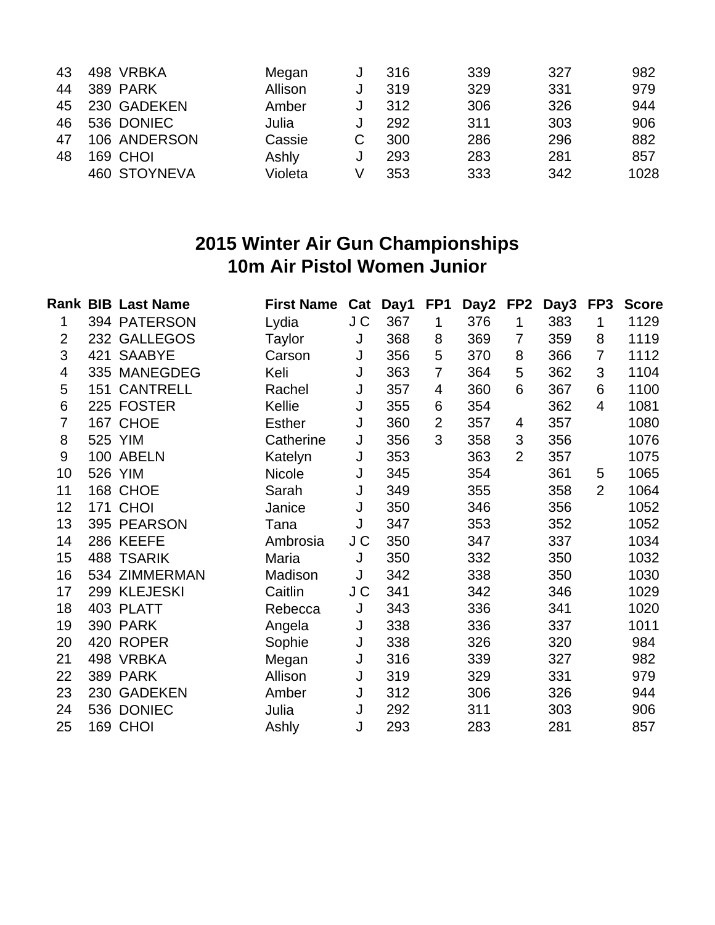| 43 | 498 VRBKA       | Megan   | 316 | 339 | 327 | 982  |
|----|-----------------|---------|-----|-----|-----|------|
| 44 | <b>389 PARK</b> | Allison | 319 | 329 | 331 | 979  |
| 45 | 230 GADEKEN     | Amber   | 312 | 306 | 326 | 944  |
| 46 | 536 DONIEC      | Julia   | 292 | 311 | 303 | 906  |
| 47 | 106 ANDERSON    | Cassie  | 300 | 286 | 296 | 882  |
| 48 | 169 CHOI        | Ashly   | 293 | 283 | 281 | 857  |
|    | 460 STOYNEVA    | Violeta | 353 | 333 | 342 | 1028 |
|    |                 |         |     |     |     |      |

#### **2015 Winter Air Gun Championships 10m Air Pistol Women Junior**

|                |     | <b>Rank BIB Last Name</b> | <b>First Name</b> | Cat | Day1 | FP <sub>1</sub> | Day2 | FP <sub>2</sub> | Day3 | FP3            | <b>Score</b> |
|----------------|-----|---------------------------|-------------------|-----|------|-----------------|------|-----------------|------|----------------|--------------|
| 1              |     | 394 PATERSON              | Lydia             | J C | 367  | 1               | 376  | 1               | 383  | 1              | 1129         |
| $\overline{2}$ |     | 232 GALLEGOS              | Taylor            | J   | 368  | 8               | 369  | $\overline{7}$  | 359  | 8              | 1119         |
| 3              | 421 | <b>SAABYE</b>             | Carson            | J   | 356  | 5               | 370  | 8               | 366  | 7              | 1112         |
| 4              |     | 335 MANEGDEG              | Keli              | J   | 363  | 7               | 364  | 5               | 362  | 3              | 1104         |
| 5              | 151 | <b>CANTRELL</b>           | Rachel            | J   | 357  | 4               | 360  | 6               | 367  | 6              | 1100         |
| 6              |     | 225 FOSTER                | Kellie            | J   | 355  | 6               | 354  |                 | 362  | $\overline{4}$ | 1081         |
| $\overline{7}$ |     | 167 CHOE                  | <b>Esther</b>     | J   | 360  | $\overline{2}$  | 357  | 4               | 357  |                | 1080         |
| 8              |     | 525 YIM                   | Catherine         | J   | 356  | 3               | 358  | 3               | 356  |                | 1076         |
| 9              |     | 100 ABELN                 | Katelyn           | J   | 353  |                 | 363  | $\overline{2}$  | 357  |                | 1075         |
| 10             |     | 526 YIM                   | Nicole            | J   | 345  |                 | 354  |                 | 361  | 5              | 1065         |
| 11             |     | 168 CHOE                  | Sarah             | J   | 349  |                 | 355  |                 | 358  | $\overline{2}$ | 1064         |
| 12             |     | <b>171 CHOI</b>           | Janice            | J   | 350  |                 | 346  |                 | 356  |                | 1052         |
| 13             |     | 395 PEARSON               | Tana              | J   | 347  |                 | 353  |                 | 352  |                | 1052         |
| 14             |     | 286 KEEFE                 | Ambrosia          | J C | 350  |                 | 347  |                 | 337  |                | 1034         |
| 15             |     | 488 TSARIK                | Maria             | J   | 350  |                 | 332  |                 | 350  |                | 1032         |
| 16             |     | 534 ZIMMERMAN             | Madison           | J   | 342  |                 | 338  |                 | 350  |                | 1030         |
| 17             |     | 299 KLEJESKI              | Caitlin           | J C | 341  |                 | 342  |                 | 346  |                | 1029         |
| 18             |     | 403 PLATT                 | Rebecca           | J   | 343  |                 | 336  |                 | 341  |                | 1020         |
| 19             |     | 390 PARK                  | Angela            | J   | 338  |                 | 336  |                 | 337  |                | 1011         |
| 20             |     | 420 ROPER                 | Sophie            | J   | 338  |                 | 326  |                 | 320  |                | 984          |
| 21             |     | 498 VRBKA                 | Megan             | J   | 316  |                 | 339  |                 | 327  |                | 982          |
| 22             | 389 | <b>PARK</b>               | Allison           | J   | 319  |                 | 329  |                 | 331  |                | 979          |
| 23             | 230 | <b>GADEKEN</b>            | Amber             | J   | 312  |                 | 306  |                 | 326  |                | 944          |
| 24             |     | 536 DONIEC                | Julia             | J   | 292  |                 | 311  |                 | 303  |                | 906          |
| 25             |     | 169 CHOI                  | Ashly             | J   | 293  |                 | 283  |                 | 281  |                | 857          |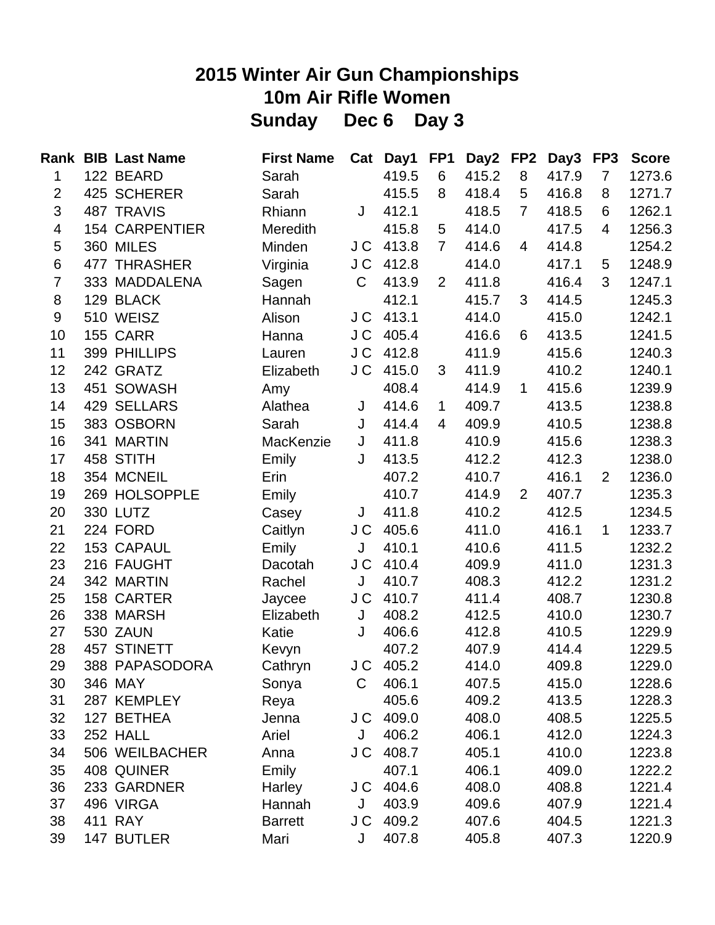# **2015 Winter Air Gun Championships 10m Air Rifle Women Sunday Dec 6 Day 3**

|                          | <b>Rank BIB Last Name</b> | <b>First Name</b> | Cat | Day1      | FP <sub>1</sub> | Day2 FP2 |                | Day3  | FP3            | <b>Score</b> |
|--------------------------|---------------------------|-------------------|-----|-----------|-----------------|----------|----------------|-------|----------------|--------------|
| 1                        | 122 BEARD                 | Sarah             |     | 419.5     | 6               | 415.2    | 8              | 417.9 | $\overline{7}$ | 1273.6       |
| $\overline{c}$           | 425 SCHERER               | Sarah             |     | 415.5     | 8               | 418.4    | 5              | 416.8 | 8              | 1271.7       |
| 3                        | 487 TRAVIS                | Rhiann            | J   | 412.1     |                 | 418.5    | $\overline{7}$ | 418.5 | 6              | 1262.1       |
| $\overline{\mathcal{A}}$ | <b>154 CARPENTIER</b>     | <b>Meredith</b>   |     | 415.8     | 5               | 414.0    |                | 417.5 | $\overline{4}$ | 1256.3       |
| 5                        | 360 MILES                 | Minden            | J C | 413.8     | $\overline{7}$  | 414.6    | 4              | 414.8 |                | 1254.2       |
| 6                        | 477 THRASHER              | Virginia          | J C | 412.8     |                 | 414.0    |                | 417.1 | 5              | 1248.9       |
| $\overline{7}$           | 333 MADDALENA             | Sagen             | C   | 413.9     | $\overline{2}$  | 411.8    |                | 416.4 | 3              | 1247.1       |
| 8                        | 129 BLACK                 | Hannah            |     | 412.1     |                 | 415.7    | 3              | 414.5 |                | 1245.3       |
| 9                        | 510 WEISZ                 | Alison            | J C | 413.1     |                 | 414.0    |                | 415.0 |                | 1242.1       |
| 10                       | <b>155 CARR</b>           | Hanna             | J C | 405.4     |                 | 416.6    | 6              | 413.5 |                | 1241.5       |
| 11                       | 399 PHILLIPS              | Lauren            | J C | 412.8     |                 | 411.9    |                | 415.6 |                | 1240.3       |
| 12                       | 242 GRATZ                 | Elizabeth         | J C | 415.0     | 3               | 411.9    |                | 410.2 |                | 1240.1       |
| 13                       | 451 SOWASH                | Amy               |     | 408.4     |                 | 414.9    | $\mathbf{1}$   | 415.6 |                | 1239.9       |
| 14                       | 429 SELLARS               | Alathea           | J   | 414.6     | $\mathbf 1$     | 409.7    |                | 413.5 |                | 1238.8       |
| 15                       | 383 OSBORN                | Sarah             | J   | 414.4     | $\overline{4}$  | 409.9    |                | 410.5 |                | 1238.8       |
| 16                       | 341 MARTIN                | MacKenzie         | J   | 411.8     |                 | 410.9    |                | 415.6 |                | 1238.3       |
| 17                       | 458 STITH                 | Emily             | J   | 413.5     |                 | 412.2    |                | 412.3 |                | 1238.0       |
| 18                       | 354 MCNEIL                | Erin              |     | 407.2     |                 | 410.7    |                | 416.1 | $\overline{2}$ | 1236.0       |
| 19                       | 269 HOLSOPPLE             | Emily             |     | 410.7     |                 | 414.9    | $\overline{2}$ | 407.7 |                | 1235.3       |
| 20                       | 330 LUTZ                  | Casey             | J   | 411.8     |                 | 410.2    |                | 412.5 |                | 1234.5       |
| 21                       | 224 FORD                  | Caitlyn           | J C | 405.6     |                 | 411.0    |                | 416.1 | $\mathbf 1$    | 1233.7       |
| 22                       | 153 CAPAUL                | Emily             | J   | 410.1     |                 | 410.6    |                | 411.5 |                | 1232.2       |
| 23                       | 216 FAUGHT                | Dacotah           | J C | 410.4     |                 | 409.9    |                | 411.0 |                | 1231.3       |
| 24                       | 342 MARTIN                | Rachel            | J   | 410.7     |                 | 408.3    |                | 412.2 |                | 1231.2       |
| 25                       | 158 CARTER                | Jaycee            | J C | 410.7     |                 | 411.4    |                | 408.7 |                | 1230.8       |
| 26                       | 338 MARSH                 | Elizabeth         | J   | 408.2     |                 | 412.5    |                | 410.0 |                | 1230.7       |
| 27                       | 530 ZAUN                  | Katie             | J   | 406.6     |                 | 412.8    |                | 410.5 |                | 1229.9       |
| 28                       | 457 STINETT               | Kevyn             |     | 407.2     |                 | 407.9    |                | 414.4 |                | 1229.5       |
| 29                       | 388 PAPASODORA            | Cathryn           | J C | 405.2     |                 | 414.0    |                | 409.8 |                | 1229.0       |
| 30                       | 346 MAY                   | Sonya             | С   | 406.1     |                 | 407.5    |                | 415.0 |                | 1228.6       |
| 31                       | 287 KEMPLEY               | Reya              |     | 405.6     |                 | 409.2    |                | 413.5 |                | 1228.3       |
| 32                       | 127 BETHEA                | Jenna             |     | J C 409.0 |                 | 408.0    |                | 408.5 |                | 1225.5       |
| 33                       | 252 HALL                  | Ariel             | J   | 406.2     |                 | 406.1    |                | 412.0 |                | 1224.3       |
| 34                       | 506 WEILBACHER            | Anna              | J C | 408.7     |                 | 405.1    |                | 410.0 |                | 1223.8       |
| 35                       | 408 QUINER                | Emily             |     | 407.1     |                 | 406.1    |                | 409.0 |                | 1222.2       |
| 36                       | 233 GARDNER               | Harley            |     | J C 404.6 |                 | 408.0    |                | 408.8 |                | 1221.4       |
| 37                       | 496 VIRGA                 | Hannah            | J   | 403.9     |                 | 409.6    |                | 407.9 |                | 1221.4       |
| 38                       | 411 RAY                   | <b>Barrett</b>    | J C | 409.2     |                 | 407.6    |                | 404.5 |                | 1221.3       |
| 39                       | 147 BUTLER                | Mari              | J   | 407.8     |                 | 405.8    |                | 407.3 |                | 1220.9       |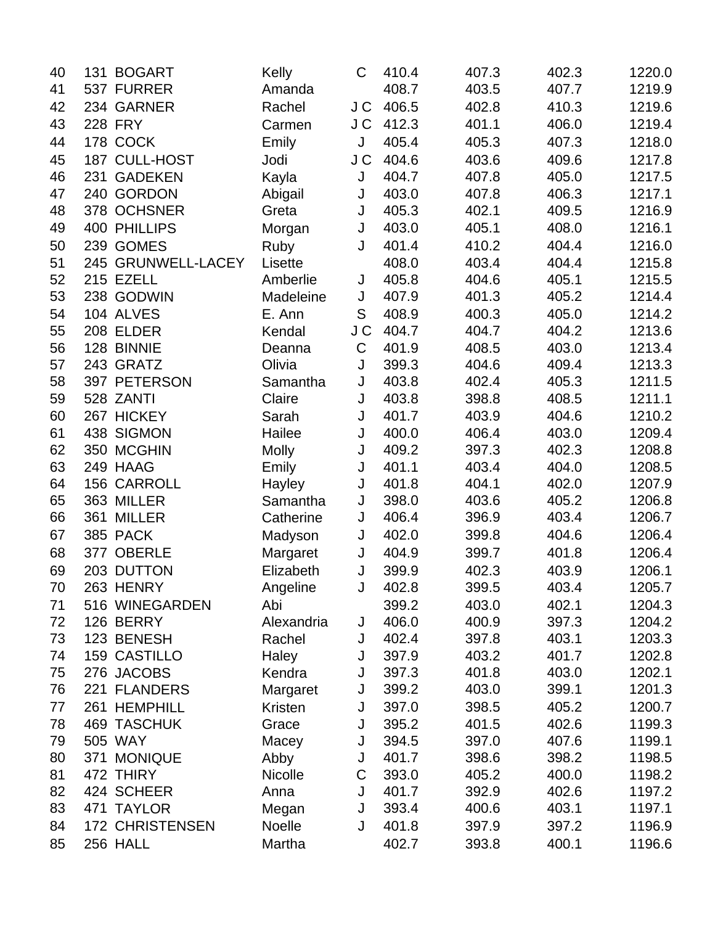| 40 | 131 BOGART             | Kelly          | C   | 410.4 | 407.3 | 402.3 | 1220.0 |
|----|------------------------|----------------|-----|-------|-------|-------|--------|
| 41 | 537 FURRER             | Amanda         |     | 408.7 | 403.5 | 407.7 | 1219.9 |
| 42 | 234 GARNER             | Rachel         | J C | 406.5 | 402.8 | 410.3 | 1219.6 |
| 43 | <b>228 FRY</b>         | Carmen         | J C | 412.3 | 401.1 | 406.0 | 1219.4 |
| 44 | 178 COCK               | Emily          | J   | 405.4 | 405.3 | 407.3 | 1218.0 |
| 45 | 187 CULL-HOST          | Jodi           | J C | 404.6 | 403.6 | 409.6 | 1217.8 |
| 46 | 231 GADEKEN            | Kayla          | J   | 404.7 | 407.8 | 405.0 | 1217.5 |
| 47 | 240 GORDON             | Abigail        | J   | 403.0 | 407.8 | 406.3 | 1217.1 |
| 48 | 378 OCHSNER            | Greta          | J   | 405.3 | 402.1 | 409.5 | 1216.9 |
| 49 | <b>400 PHILLIPS</b>    | Morgan         | J   | 403.0 | 405.1 | 408.0 | 1216.1 |
| 50 | 239 GOMES              | Ruby           | J   | 401.4 | 410.2 | 404.4 | 1216.0 |
| 51 | 245 GRUNWELL-LACEY     | Lisette        |     | 408.0 | 403.4 | 404.4 | 1215.8 |
| 52 | 215 EZELL              | Amberlie       | J   | 405.8 | 404.6 | 405.1 | 1215.5 |
| 53 | 238 GODWIN             | Madeleine      | J   | 407.9 | 401.3 | 405.2 | 1214.4 |
| 54 | 104 ALVES              | E. Ann         | S   | 408.9 | 400.3 | 405.0 | 1214.2 |
| 55 | 208 ELDER              | Kendal         | J C | 404.7 | 404.7 | 404.2 | 1213.6 |
| 56 | 128 BINNIE             | Deanna         | C   | 401.9 | 408.5 | 403.0 | 1213.4 |
| 57 | 243 GRATZ              | Olivia         | J   | 399.3 | 404.6 | 409.4 | 1213.3 |
| 58 | 397 PETERSON           | Samantha       | J   | 403.8 | 402.4 | 405.3 | 1211.5 |
| 59 | 528 ZANTI              | Claire         | J   | 403.8 | 398.8 | 408.5 | 1211.1 |
| 60 | 267 HICKEY             | Sarah          | J   | 401.7 | 403.9 | 404.6 | 1210.2 |
| 61 | 438 SIGMON             | Hailee         | J   | 400.0 | 406.4 | 403.0 | 1209.4 |
| 62 | 350 MCGHIN             | <b>Molly</b>   | J   | 409.2 | 397.3 | 402.3 | 1208.8 |
| 63 | 249 HAAG               | Emily          | J   | 401.1 | 403.4 | 404.0 | 1208.5 |
| 64 | 156 CARROLL            | Hayley         | J   | 401.8 | 404.1 | 402.0 | 1207.9 |
| 65 | 363 MILLER             | Samantha       | J   | 398.0 | 403.6 | 405.2 | 1206.8 |
| 66 | 361 MILLER             | Catherine      | J   | 406.4 | 396.9 | 403.4 | 1206.7 |
| 67 | 385 PACK               | Madyson        | J   | 402.0 | 399.8 | 404.6 | 1206.4 |
| 68 | 377 OBERLE             | Margaret       | J   | 404.9 | 399.7 | 401.8 | 1206.4 |
| 69 | 203 DUTTON             | Elizabeth      | J   | 399.9 | 402.3 | 403.9 | 1206.1 |
| 70 | 263 HENRY              | Angeline       | J   | 402.8 | 399.5 | 403.4 | 1205.7 |
| 71 | 516 WINEGARDEN         | Abi            |     | 399.2 | 403.0 | 402.1 | 1204.3 |
| 72 | 126 BERRY              | Alexandria     | J   | 406.0 | 400.9 | 397.3 | 1204.2 |
| 73 | 123 BENESH             | Rachel         | J   | 402.4 | 397.8 | 403.1 | 1203.3 |
| 74 | 159 CASTILLO           | Haley          | J   | 397.9 | 403.2 | 401.7 | 1202.8 |
| 75 | 276 JACOBS             | Kendra         | J   | 397.3 | 401.8 | 403.0 | 1202.1 |
| 76 | 221 FLANDERS           | Margaret       | J   | 399.2 | 403.0 | 399.1 | 1201.3 |
| 77 | 261 HEMPHILL           | <b>Kristen</b> | J   | 397.0 | 398.5 | 405.2 | 1200.7 |
| 78 | <b>469 TASCHUK</b>     | Grace          | J   | 395.2 | 401.5 | 402.6 | 1199.3 |
| 79 | 505 WAY                | Macey          | J   | 394.5 | 397.0 | 407.6 | 1199.1 |
| 80 | 371 MONIQUE            | Abby           | J   | 401.7 | 398.6 | 398.2 | 1198.5 |
| 81 | 472 THIRY              | Nicolle        | С   | 393.0 | 405.2 | 400.0 | 1198.2 |
| 82 | 424 SCHEER             | Anna           | J   | 401.7 | 392.9 | 402.6 | 1197.2 |
| 83 | 471 TAYLOR             | Megan          | J   | 393.4 | 400.6 | 403.1 | 1197.1 |
| 84 | <b>172 CHRISTENSEN</b> | Noelle         | J   | 401.8 | 397.9 | 397.2 | 1196.9 |
| 85 | 256 HALL               | Martha         |     | 402.7 | 393.8 | 400.1 | 1196.6 |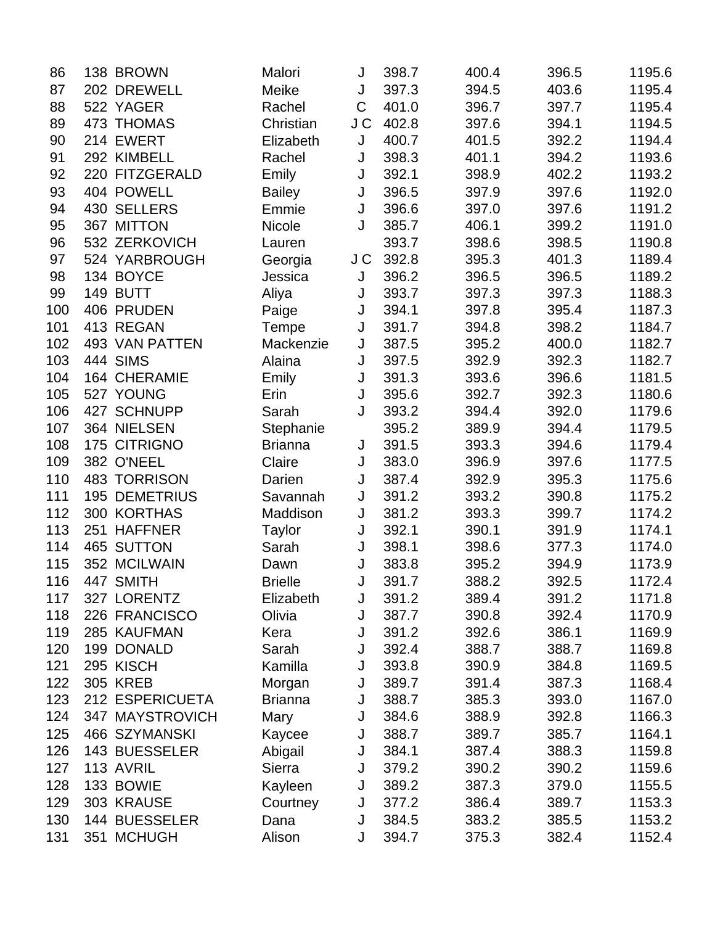| 86  | 138 BROWN             | Malori         | J   | 398.7 | 400.4 | 396.5 | 1195.6 |
|-----|-----------------------|----------------|-----|-------|-------|-------|--------|
| 87  | 202 DREWELL           | Meike          | J   | 397.3 | 394.5 | 403.6 | 1195.4 |
| 88  | 522 YAGER             | Rachel         | C   | 401.0 | 396.7 | 397.7 | 1195.4 |
| 89  | 473 THOMAS            | Christian      | J C | 402.8 | 397.6 | 394.1 | 1194.5 |
| 90  | 214 EWERT             | Elizabeth      | J   | 400.7 | 401.5 | 392.2 | 1194.4 |
| 91  | 292 KIMBELL           | Rachel         | J   | 398.3 | 401.1 | 394.2 | 1193.6 |
| 92  | 220 FITZGERALD        | Emily          | J   | 392.1 | 398.9 | 402.2 | 1193.2 |
| 93  | 404 POWELL            | <b>Bailey</b>  | J   | 396.5 | 397.9 | 397.6 | 1192.0 |
| 94  | 430 SELLERS           | Emmie          | J   | 396.6 | 397.0 | 397.6 | 1191.2 |
| 95  | 367 MITTON            | <b>Nicole</b>  | J   | 385.7 | 406.1 | 399.2 | 1191.0 |
| 96  | 532 ZERKOVICH         | Lauren         |     | 393.7 | 398.6 | 398.5 | 1190.8 |
| 97  | 524 YARBROUGH         | Georgia        | J C | 392.8 | 395.3 | 401.3 | 1189.4 |
| 98  | 134 BOYCE             | Jessica        | J   | 396.2 | 396.5 | 396.5 | 1189.2 |
| 99  | 149 BUTT              | Aliya          | J   | 393.7 | 397.3 | 397.3 | 1188.3 |
| 100 | 406 PRUDEN            | Paige          | J   | 394.1 | 397.8 | 395.4 | 1187.3 |
| 101 | 413 REGAN             | Tempe          | J   | 391.7 | 394.8 | 398.2 | 1184.7 |
| 102 | <b>493 VAN PATTEN</b> | Mackenzie      | J   | 387.5 | 395.2 | 400.0 | 1182.7 |
| 103 | <b>444 SIMS</b>       | Alaina         | J   | 397.5 | 392.9 | 392.3 | 1182.7 |
| 104 | <b>164 CHERAMIE</b>   | Emily          | J   | 391.3 | 393.6 | 396.6 | 1181.5 |
| 105 | 527 YOUNG             | Erin           | J   | 395.6 | 392.7 | 392.3 | 1180.6 |
| 106 | 427 SCHNUPP           | Sarah          | J   | 393.2 | 394.4 | 392.0 | 1179.6 |
| 107 | 364 NIELSEN           | Stephanie      |     | 395.2 | 389.9 | 394.4 | 1179.5 |
| 108 | 175 CITRIGNO          | <b>Brianna</b> | J   | 391.5 | 393.3 | 394.6 | 1179.4 |
| 109 | 382 O'NEEL            | Claire         | J   | 383.0 | 396.9 | 397.6 | 1177.5 |
| 110 | 483 TORRISON          | Darien         | J   | 387.4 | 392.9 | 395.3 | 1175.6 |
| 111 | <b>195 DEMETRIUS</b>  | Savannah       | J   | 391.2 | 393.2 | 390.8 | 1175.2 |
| 112 | 300 KORTHAS           | Maddison       | J   | 381.2 | 393.3 | 399.7 | 1174.2 |
| 113 | 251 HAFFNER           | Taylor         | J   | 392.1 | 390.1 | 391.9 | 1174.1 |
| 114 | 465 SUTTON            | Sarah          | J   | 398.1 | 398.6 | 377.3 | 1174.0 |
| 115 | 352 MCILWAIN          | Dawn           | J   | 383.8 | 395.2 | 394.9 | 1173.9 |
| 116 | 447 SMITH             | <b>Brielle</b> | J   | 391.7 | 388.2 | 392.5 | 1172.4 |
| 117 | 327 LORENTZ           | Elizabeth      | J   | 391.2 | 389.4 | 391.2 | 1171.8 |
| 118 | 226 FRANCISCO         | Olivia         | J   | 387.7 | 390.8 | 392.4 | 1170.9 |
| 119 | 285 KAUFMAN           | Kera           | J   | 391.2 | 392.6 | 386.1 | 1169.9 |
| 120 | 199 DONALD            | Sarah          | J   | 392.4 | 388.7 | 388.7 | 1169.8 |
| 121 | 295 KISCH             | Kamilla        | J   | 393.8 | 390.9 | 384.8 | 1169.5 |
| 122 | <b>305 KREB</b>       | Morgan         | J   | 389.7 | 391.4 | 387.3 | 1168.4 |
| 123 | 212 ESPERICUETA       | <b>Brianna</b> | J   | 388.7 | 385.3 | 393.0 | 1167.0 |
| 124 | 347 MAYSTROVICH       | Mary           | J   | 384.6 | 388.9 | 392.8 | 1166.3 |
| 125 | 466 SZYMANSKI         | Kaycee         | J   | 388.7 | 389.7 | 385.7 | 1164.1 |
| 126 | 143 BUESSELER         | Abigail        | J   | 384.1 | 387.4 | 388.3 | 1159.8 |
| 127 | 113 AVRIL             | Sierra         | J   | 379.2 | 390.2 | 390.2 | 1159.6 |
| 128 | 133 BOWIE             | Kayleen        | J   | 389.2 | 387.3 | 379.0 | 1155.5 |
| 129 | 303 KRAUSE            | Courtney       | J   | 377.2 | 386.4 | 389.7 | 1153.3 |
| 130 | 144 BUESSELER         | Dana           | J   | 384.5 | 383.2 | 385.5 | 1153.2 |
| 131 | 351 MCHUGH            | Alison         | J   | 394.7 | 375.3 | 382.4 | 1152.4 |
|     |                       |                |     |       |       |       |        |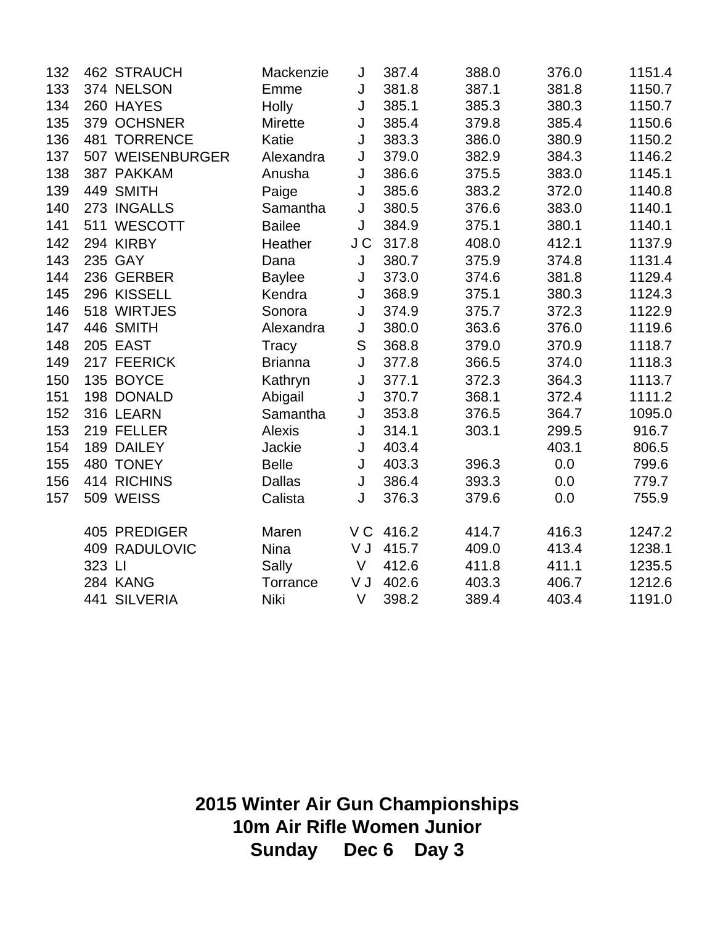| 132 | <b>462 STRAUCH</b> | Mackenzie      | J             | 387.4    | 388.0 | 376.0 | 1151.4 |
|-----|--------------------|----------------|---------------|----------|-------|-------|--------|
| 133 | 374 NELSON         | Emme           | J             | 381.8    | 387.1 | 381.8 | 1150.7 |
| 134 | 260 HAYES          | Holly          | J             | 385.1    | 385.3 | 380.3 | 1150.7 |
| 135 | 379 OCHSNER        | <b>Mirette</b> | J             | 385.4    | 379.8 | 385.4 | 1150.6 |
| 136 | 481 TORRENCE       | Katie          | J             | 383.3    | 386.0 | 380.9 | 1150.2 |
| 137 | 507 WEISENBURGER   | Alexandra      | J             | 379.0    | 382.9 | 384.3 | 1146.2 |
| 138 | 387 PAKKAM         | Anusha         | J             | 386.6    | 375.5 | 383.0 | 1145.1 |
| 139 | 449 SMITH          | Paige          | J             | 385.6    | 383.2 | 372.0 | 1140.8 |
| 140 | 273 INGALLS        | Samantha       | J             | 380.5    | 376.6 | 383.0 | 1140.1 |
| 141 | 511 WESCOTT        | <b>Bailee</b>  | J             | 384.9    | 375.1 | 380.1 | 1140.1 |
| 142 | 294 KIRBY          | Heather        | J C           | 317.8    | 408.0 | 412.1 | 1137.9 |
| 143 | 235 GAY            | Dana           | J             | 380.7    | 375.9 | 374.8 | 1131.4 |
| 144 | 236 GERBER         | <b>Baylee</b>  | J             | 373.0    | 374.6 | 381.8 | 1129.4 |
| 145 | 296 KISSELL        | Kendra         | J             | 368.9    | 375.1 | 380.3 | 1124.3 |
| 146 | 518 WIRTJES        | Sonora         | J             | 374.9    | 375.7 | 372.3 | 1122.9 |
| 147 | 446 SMITH          | Alexandra      | J             | 380.0    | 363.6 | 376.0 | 1119.6 |
| 148 | 205 EAST           | Tracy          | ${\mathsf S}$ | 368.8    | 379.0 | 370.9 | 1118.7 |
| 149 | 217 FEERICK        | <b>Brianna</b> | J             | 377.8    | 366.5 | 374.0 | 1118.3 |
| 150 | 135 BOYCE          | Kathryn        | J             | 377.1    | 372.3 | 364.3 | 1113.7 |
| 151 | 198 DONALD         | Abigail        | J             | 370.7    | 368.1 | 372.4 | 1111.2 |
| 152 | 316 LEARN          | Samantha       | J             | 353.8    | 376.5 | 364.7 | 1095.0 |
| 153 | 219 FELLER         | <b>Alexis</b>  | J             | 314.1    | 303.1 | 299.5 | 916.7  |
| 154 | 189 DAILEY         | Jackie         | J             | 403.4    |       | 403.1 | 806.5  |
| 155 | 480 TONEY          | <b>Belle</b>   | J             | 403.3    | 396.3 | 0.0   | 799.6  |
| 156 | 414 RICHINS        | <b>Dallas</b>  | J             | 386.4    | 393.3 | 0.0   | 779.7  |
| 157 | 509 WEISS          | Calista        | J             | 376.3    | 379.6 | 0.0   | 755.9  |
|     | 405 PREDIGER       | Maren          |               | VC 416.2 | 414.7 | 416.3 | 1247.2 |
|     | 409 RADULOVIC      | <b>Nina</b>    | V J           | 415.7    | 409.0 | 413.4 | 1238.1 |
|     | 323 LI             | Sally          | $\vee$        | 412.6    | 411.8 | 411.1 | 1235.5 |
|     | 284 KANG           | Torrance       | V J           | 402.6    | 403.3 | 406.7 | 1212.6 |
|     | 441 SILVERIA       | <b>Niki</b>    | V             | 398.2    | 389.4 | 403.4 | 1191.0 |

**2015 Winter Air Gun Championships 10m Air Rifle Women Junior Sunday Dec 6 Day 3**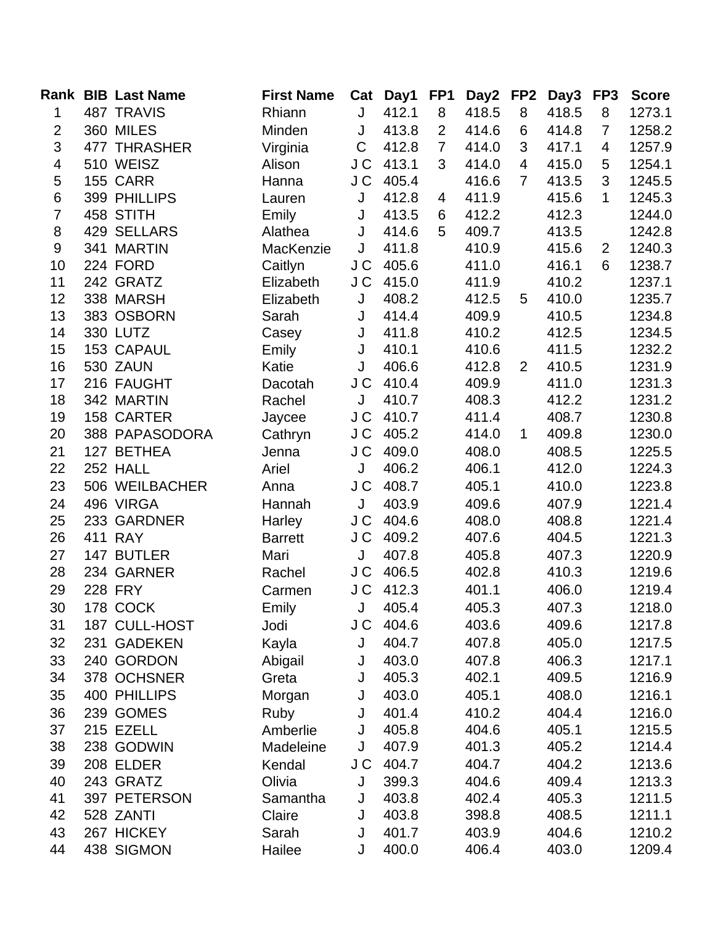|                | <b>Rank BIB Last Name</b> | <b>First Name</b> | Cat         | Day1      | FP <sub>1</sub> | Day2  | FP2            | Day3  | FP3            | <b>Score</b> |
|----------------|---------------------------|-------------------|-------------|-----------|-----------------|-------|----------------|-------|----------------|--------------|
| 1              | <b>487 TRAVIS</b>         | Rhiann            | J           | 412.1     | 8               | 418.5 | 8              | 418.5 | 8              | 1273.1       |
| $\mathbf{2}$   | 360 MILES                 | Minden            | J           | 413.8     | 2               | 414.6 | 6              | 414.8 | $\overline{7}$ | 1258.2       |
| 3              | 477 THRASHER              | Virginia          | $\mathsf C$ | 412.8     | $\overline{7}$  | 414.0 | 3              | 417.1 | 4              | 1257.9       |
| $\overline{4}$ | 510 WEISZ                 | Alison            | J C         | 413.1     | 3               | 414.0 | $\overline{4}$ | 415.0 | 5              | 1254.1       |
| $\mathbf 5$    | 155 CARR                  | Hanna             | J C         | 405.4     |                 | 416.6 | $\overline{7}$ | 413.5 | 3              | 1245.5       |
| 6              | 399 PHILLIPS              | Lauren            | J           | 412.8     | 4               | 411.9 |                | 415.6 | $\mathbf{1}$   | 1245.3       |
| $\overline{7}$ | 458 STITH                 | Emily             | J           | 413.5     | 6               | 412.2 |                | 412.3 |                | 1244.0       |
| 8              | 429 SELLARS               | Alathea           | J           | 414.6     | 5               | 409.7 |                | 413.5 |                | 1242.8       |
| $9\,$          | 341 MARTIN                | MacKenzie         | J           | 411.8     |                 | 410.9 |                | 415.6 | 2              | 1240.3       |
| 10             | 224 FORD                  | Caitlyn           | J C         | 405.6     |                 | 411.0 |                | 416.1 | 6              | 1238.7       |
| 11             | 242 GRATZ                 | Elizabeth         | J C         | 415.0     |                 | 411.9 |                | 410.2 |                | 1237.1       |
| 12             | 338 MARSH                 | Elizabeth         | J           | 408.2     |                 | 412.5 | 5              | 410.0 |                | 1235.7       |
| 13             | 383 OSBORN                | Sarah             | J           | 414.4     |                 | 409.9 |                | 410.5 |                | 1234.8       |
| 14             | 330 LUTZ                  | Casey             | J           | 411.8     |                 | 410.2 |                | 412.5 |                | 1234.5       |
| 15             | 153 CAPAUL                | Emily             | J           | 410.1     |                 | 410.6 |                | 411.5 |                | 1232.2       |
| 16             | 530 ZAUN                  | Katie             | J           | 406.6     |                 | 412.8 | $\overline{2}$ | 410.5 |                | 1231.9       |
| 17             | 216 FAUGHT                | Dacotah           | J C         | 410.4     |                 | 409.9 |                | 411.0 |                | 1231.3       |
| 18             | 342 MARTIN                | Rachel            | J           | 410.7     |                 | 408.3 |                | 412.2 |                | 1231.2       |
| 19             | 158 CARTER                | Jaycee            | J C         | 410.7     |                 | 411.4 |                | 408.7 |                | 1230.8       |
| 20             | 388 PAPASODORA            | Cathryn           | J C         | 405.2     |                 | 414.0 | $\mathbf{1}$   | 409.8 |                | 1230.0       |
| 21             | 127 BETHEA                | Jenna             | J C         | 409.0     |                 | 408.0 |                | 408.5 |                | 1225.5       |
| 22             | 252 HALL                  | Ariel             | J           | 406.2     |                 | 406.1 |                | 412.0 |                | 1224.3       |
| 23             | 506 WEILBACHER            | Anna              | J C         | 408.7     |                 | 405.1 |                | 410.0 |                | 1223.8       |
| 24             | 496 VIRGA                 | Hannah            | J           | 403.9     |                 | 409.6 |                | 407.9 |                | 1221.4       |
| 25             | 233 GARDNER               | Harley            | J C         | 404.6     |                 | 408.0 |                | 408.8 |                | 1221.4       |
| 26             | 411 RAY                   | <b>Barrett</b>    | J C         | 409.2     |                 | 407.6 |                | 404.5 |                | 1221.3       |
| 27             | 147 BUTLER                | Mari              | J           | 407.8     |                 | 405.8 |                | 407.3 |                | 1220.9       |
| 28             | 234 GARNER                | Rachel            | J C         | 406.5     |                 | 402.8 |                | 410.3 |                | 1219.6       |
| 29             | <b>228 FRY</b>            | Carmen            | J C         | 412.3     |                 | 401.1 |                | 406.0 |                | 1219.4       |
| 30             | 178 COCK                  | Emily             | J           | 405.4     |                 | 405.3 |                | 407.3 |                | 1218.0       |
| 31             | 187 CULL-HOST             | Jodi              |             | J C 404.6 |                 | 403.6 |                | 409.6 |                | 1217.8       |
| 32             | 231 GADEKEN               | Kayla             | J           | 404.7     |                 | 407.8 |                | 405.0 |                | 1217.5       |
| 33             | 240 GORDON                | Abigail           | J           | 403.0     |                 | 407.8 |                | 406.3 |                | 1217.1       |
| 34             | 378 OCHSNER               | Greta             | J           | 405.3     |                 | 402.1 |                | 409.5 |                | 1216.9       |
| 35             | 400 PHILLIPS              | Morgan            | J           | 403.0     |                 | 405.1 |                | 408.0 |                | 1216.1       |
| 36             | 239 GOMES                 | Ruby              | J           | 401.4     |                 | 410.2 |                | 404.4 |                | 1216.0       |
| 37             | 215 EZELL                 | Amberlie          | J           | 405.8     |                 | 404.6 |                | 405.1 |                | 1215.5       |
| 38             | 238 GODWIN                | Madeleine         | J           | 407.9     |                 | 401.3 |                | 405.2 |                | 1214.4       |
| 39             | 208 ELDER                 | Kendal            |             | J C 404.7 |                 | 404.7 |                | 404.2 |                | 1213.6       |
| 40             | 243 GRATZ                 | Olivia            | J           | 399.3     |                 | 404.6 |                | 409.4 |                | 1213.3       |
| 41             | 397 PETERSON              | Samantha          | J           | 403.8     |                 | 402.4 |                | 405.3 |                | 1211.5       |
| 42             | 528 ZANTI                 | Claire            | J           | 403.8     |                 | 398.8 |                | 408.5 |                | 1211.1       |
| 43             | 267 HICKEY                | Sarah             | J           | 401.7     |                 | 403.9 |                | 404.6 |                | 1210.2       |
| 44             | 438 SIGMON                | Hailee            | J           | 400.0     |                 | 406.4 |                | 403.0 |                | 1209.4       |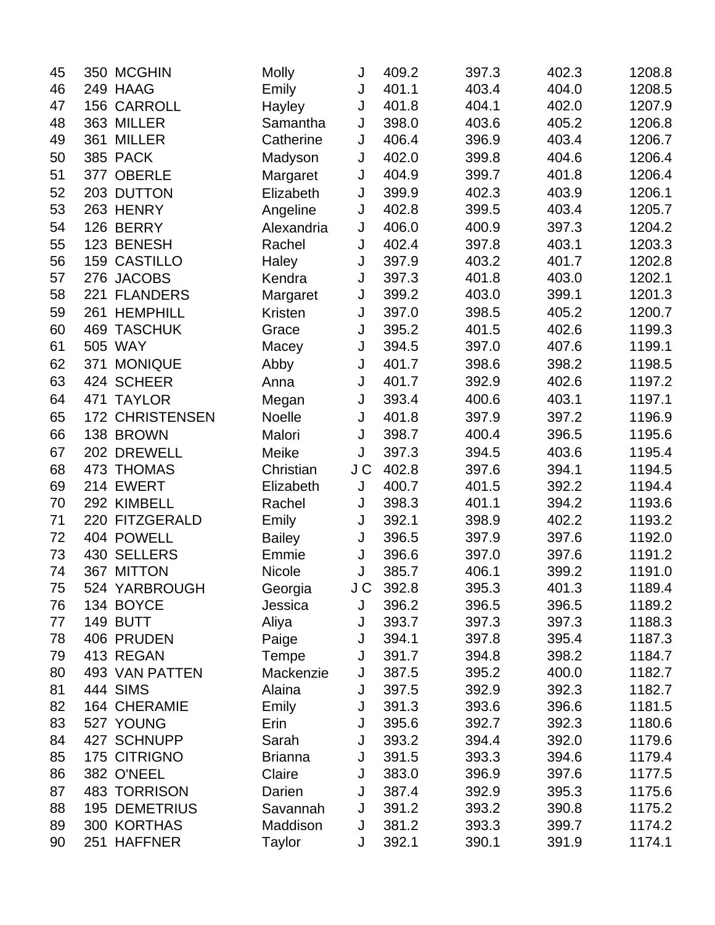| 45 | 350 MCGHIN             | <b>Molly</b>   | J   | 409.2 | 397.3 | 402.3 | 1208.8 |
|----|------------------------|----------------|-----|-------|-------|-------|--------|
| 46 | 249 HAAG               | Emily          | J   | 401.1 | 403.4 | 404.0 | 1208.5 |
| 47 | 156 CARROLL            | Hayley         | J   | 401.8 | 404.1 | 402.0 | 1207.9 |
| 48 | 363 MILLER             | Samantha       | J   | 398.0 | 403.6 | 405.2 | 1206.8 |
| 49 | 361 MILLER             | Catherine      | J   | 406.4 | 396.9 | 403.4 | 1206.7 |
| 50 | 385 PACK               | Madyson        | J   | 402.0 | 399.8 | 404.6 | 1206.4 |
| 51 | 377 OBERLE             | Margaret       | J   | 404.9 | 399.7 | 401.8 | 1206.4 |
| 52 | 203 DUTTON             | Elizabeth      | J   | 399.9 | 402.3 | 403.9 | 1206.1 |
| 53 | 263 HENRY              | Angeline       | J   | 402.8 | 399.5 | 403.4 | 1205.7 |
| 54 | 126 BERRY              | Alexandria     | J   | 406.0 | 400.9 | 397.3 | 1204.2 |
| 55 | 123 BENESH             | Rachel         | J   | 402.4 | 397.8 | 403.1 | 1203.3 |
| 56 | <b>159 CASTILLO</b>    | Haley          | J   | 397.9 | 403.2 | 401.7 | 1202.8 |
| 57 | 276 JACOBS             | Kendra         | J   | 397.3 | 401.8 | 403.0 | 1202.1 |
| 58 | 221 FLANDERS           | Margaret       | J   | 399.2 | 403.0 | 399.1 | 1201.3 |
| 59 | 261 HEMPHILL           | Kristen        | J   | 397.0 | 398.5 | 405.2 | 1200.7 |
| 60 | <b>469 TASCHUK</b>     | Grace          | J   | 395.2 | 401.5 | 402.6 | 1199.3 |
| 61 | 505 WAY                | Macey          | J   | 394.5 | 397.0 | 407.6 | 1199.1 |
| 62 | 371 MONIQUE            | Abby           | J   | 401.7 | 398.6 | 398.2 | 1198.5 |
| 63 | 424 SCHEER             | Anna           | J   | 401.7 | 392.9 | 402.6 | 1197.2 |
| 64 | 471 TAYLOR             | Megan          | J   | 393.4 | 400.6 | 403.1 | 1197.1 |
| 65 | <b>172 CHRISTENSEN</b> | Noelle         | J   | 401.8 | 397.9 | 397.2 | 1196.9 |
| 66 | 138 BROWN              | Malori         | J   | 398.7 | 400.4 | 396.5 | 1195.6 |
| 67 | 202 DREWELL            | Meike          | J   | 397.3 | 394.5 | 403.6 | 1195.4 |
| 68 | 473 THOMAS             | Christian      | J C | 402.8 | 397.6 | 394.1 | 1194.5 |
| 69 | 214 EWERT              | Elizabeth      | J   | 400.7 | 401.5 | 392.2 | 1194.4 |
| 70 | 292 KIMBELL            | Rachel         | J   | 398.3 | 401.1 | 394.2 | 1193.6 |
| 71 | 220 FITZGERALD         | Emily          | J   | 392.1 | 398.9 | 402.2 | 1193.2 |
| 72 | 404 POWELL             | <b>Bailey</b>  | J   | 396.5 | 397.9 | 397.6 | 1192.0 |
| 73 | 430 SELLERS            | Emmie          | J   | 396.6 | 397.0 | 397.6 | 1191.2 |
| 74 | 367 MITTON             | Nicole         | J   | 385.7 | 406.1 | 399.2 | 1191.0 |
| 75 | 524 YARBROUGH          | Georgia        | J C | 392.8 | 395.3 | 401.3 | 1189.4 |
| 76 | 134 BOYCE              | Jessica        | J   | 396.2 | 396.5 | 396.5 | 1189.2 |
| 77 | 149 BUTT               | Aliya          | J   | 393.7 | 397.3 | 397.3 | 1188.3 |
| 78 | 406 PRUDEN             | Paige          | J   | 394.1 | 397.8 | 395.4 | 1187.3 |
| 79 | 413 REGAN              | Tempe          | J   | 391.7 | 394.8 | 398.2 | 1184.7 |
| 80 | 493 VAN PATTEN         | Mackenzie      | J   | 387.5 | 395.2 | 400.0 | 1182.7 |
| 81 | <b>444 SIMS</b>        | Alaina         | J   | 397.5 | 392.9 | 392.3 | 1182.7 |
| 82 | 164 CHERAMIE           | Emily          | J   | 391.3 | 393.6 | 396.6 | 1181.5 |
| 83 | 527 YOUNG              | Erin           | J   | 395.6 | 392.7 | 392.3 | 1180.6 |
| 84 | 427 SCHNUPP            | Sarah          | J   | 393.2 | 394.4 | 392.0 | 1179.6 |
| 85 | 175 CITRIGNO           | <b>Brianna</b> | J   | 391.5 | 393.3 | 394.6 | 1179.4 |
| 86 | 382 O'NEEL             | Claire         | J   | 383.0 | 396.9 | 397.6 | 1177.5 |
| 87 | <b>483 TORRISON</b>    | Darien         | J   | 387.4 | 392.9 | 395.3 | 1175.6 |
| 88 | <b>195 DEMETRIUS</b>   | Savannah       | J   | 391.2 | 393.2 | 390.8 | 1175.2 |
| 89 | 300 KORTHAS            | Maddison       | J   | 381.2 | 393.3 | 399.7 | 1174.2 |
| 90 | 251 HAFFNER            | Taylor         | J   | 392.1 | 390.1 | 391.9 | 1174.1 |